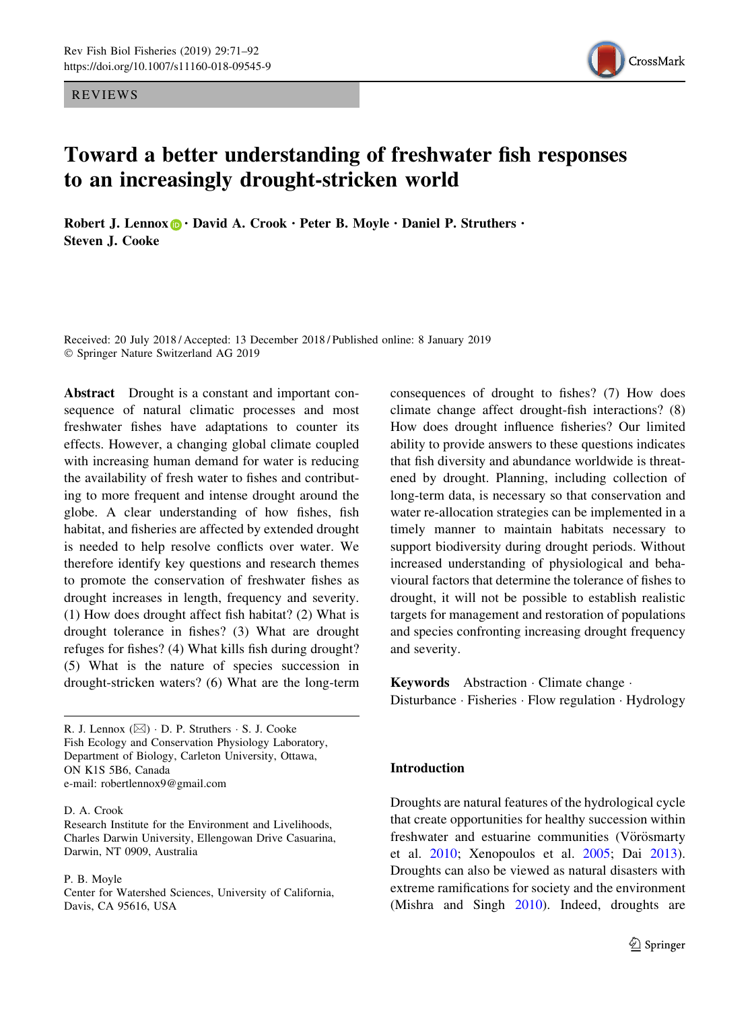REVIEWS



# Toward a better understanding of freshwater fish responses to an increasingly drought-stricken world

Robert J. Lennox  $\mathbf{D} \cdot$  David A. Crook  $\cdot$  Peter B. Moyle  $\cdot$  Daniel P. Struthers  $\cdot$ Steven J. Cooke

Received: 20 July 2018 / Accepted: 13 December 2018 / Published online: 8 January 2019 - Springer Nature Switzerland AG 2019

Abstract Drought is a constant and important consequence of natural climatic processes and most freshwater fishes have adaptations to counter its effects. However, a changing global climate coupled with increasing human demand for water is reducing the availability of fresh water to fishes and contributing to more frequent and intense drought around the globe. A clear understanding of how fishes, fish habitat, and fisheries are affected by extended drought is needed to help resolve conflicts over water. We therefore identify key questions and research themes to promote the conservation of freshwater fishes as drought increases in length, frequency and severity. (1) How does drought affect fish habitat? (2) What is drought tolerance in fishes? (3) What are drought refuges for fishes? (4) What kills fish during drought? (5) What is the nature of species succession in drought-stricken waters? (6) What are the long-term

R. J. Lennox  $(\boxtimes)$   $\cdot$  D. P. Struthers  $\cdot$  S. J. Cooke Fish Ecology and Conservation Physiology Laboratory, Department of Biology, Carleton University, Ottawa, ON K1S 5B6, Canada e-mail: robertlennox9@gmail.com

#### D. A. Crook

Research Institute for the Environment and Livelihoods, Charles Darwin University, Ellengowan Drive Casuarina, Darwin, NT 0909, Australia

#### P. B. Moyle

Center for Watershed Sciences, University of California, Davis, CA 95616, USA

consequences of drought to fishes? (7) How does climate change affect drought-fish interactions? (8) How does drought influence fisheries? Our limited ability to provide answers to these questions indicates that fish diversity and abundance worldwide is threatened by drought. Planning, including collection of long-term data, is necessary so that conservation and water re-allocation strategies can be implemented in a timely manner to maintain habitats necessary to support biodiversity during drought periods. Without increased understanding of physiological and behavioural factors that determine the tolerance of fishes to drought, it will not be possible to establish realistic targets for management and restoration of populations and species confronting increasing drought frequency and severity.

Keywords Abstraction - Climate change - Disturbance · Fisheries · Flow regulation · Hydrology

# Introduction

Droughts are natural features of the hydrological cycle that create opportunities for healthy succession within freshwater and estuarine communities (Vörösmarty et al. [2010;](#page-21-0) Xenopoulos et al. [2005](#page-21-0); Dai [2013](#page-16-0)). Droughts can also be viewed as natural disasters with extreme ramifications for society and the environment (Mishra and Singh [2010\)](#page-19-0). Indeed, droughts are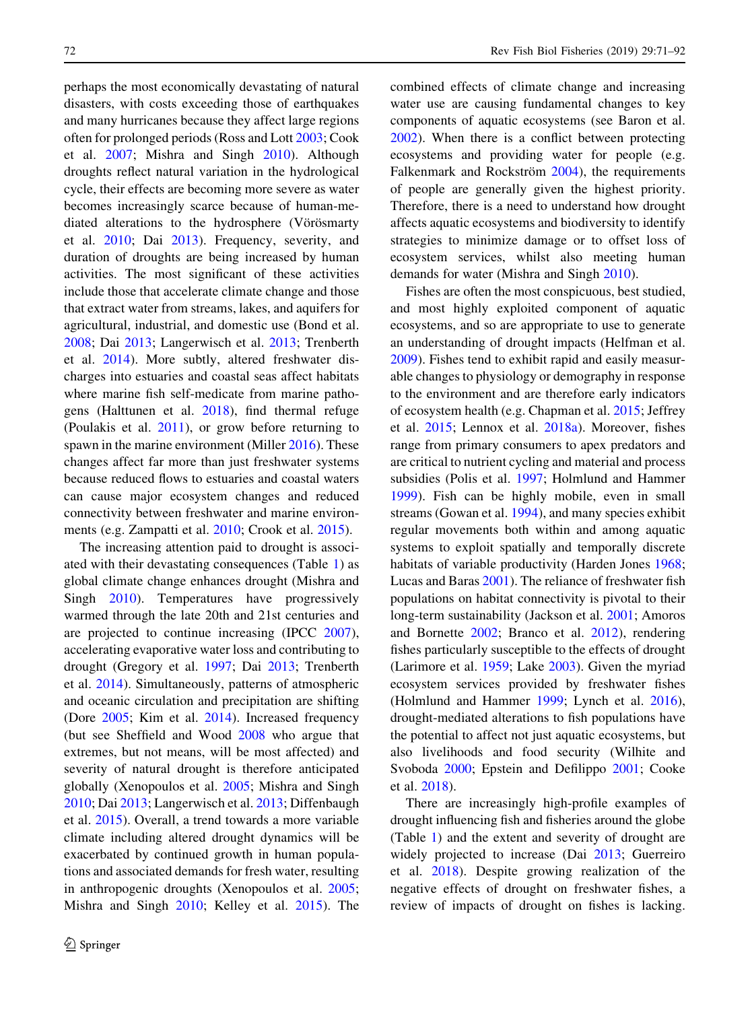perhaps the most economically devastating of natural disasters, with costs exceeding those of earthquakes and many hurricanes because they affect large regions often for prolonged periods (Ross and Lott [2003;](#page-20-0) Cook et al. [2007;](#page-15-0) Mishra and Singh [2010](#page-19-0)). Although droughts reflect natural variation in the hydrological cycle, their effects are becoming more severe as water becomes increasingly scarce because of human-mediated alterations to the hydrosphere (Vörösmarty et al. [2010;](#page-21-0) Dai [2013](#page-16-0)). Frequency, severity, and duration of droughts are being increased by human activities. The most significant of these activities include those that accelerate climate change and those that extract water from streams, lakes, and aquifers for agricultural, industrial, and domestic use (Bond et al. [2008;](#page-15-0) Dai [2013;](#page-16-0) Langerwisch et al. [2013](#page-18-0); Trenberth et al. [2014](#page-21-0)). More subtly, altered freshwater discharges into estuaries and coastal seas affect habitats where marine fish self-medicate from marine pathogens (Halttunen et al. [2018\)](#page-17-0), find thermal refuge (Poulakis et al. [2011](#page-20-0)), or grow before returning to spawn in the marine environment (Miller [2016\)](#page-19-0). These changes affect far more than just freshwater systems because reduced flows to estuaries and coastal waters can cause major ecosystem changes and reduced connectivity between freshwater and marine environments (e.g. Zampatti et al. [2010;](#page-21-0) Crook et al. [2015\)](#page-16-0).

The increasing attention paid to drought is associated with their devastating consequences (Table [1\)](#page-2-0) as global climate change enhances drought (Mishra and Singh [2010\)](#page-19-0). Temperatures have progressively warmed through the late 20th and 21st centuries and are projected to continue increasing (IPCC [2007](#page-17-0)), accelerating evaporative water loss and contributing to drought (Gregory et al. [1997](#page-17-0); Dai [2013](#page-16-0); Trenberth et al. [2014](#page-21-0)). Simultaneously, patterns of atmospheric and oceanic circulation and precipitation are shifting (Dore [2005](#page-16-0); Kim et al. [2014](#page-18-0)). Increased frequency (but see Sheffield and Wood [2008](#page-20-0) who argue that extremes, but not means, will be most affected) and severity of natural drought is therefore anticipated globally (Xenopoulos et al. [2005;](#page-21-0) Mishra and Singh [2010;](#page-19-0) Dai [2013;](#page-16-0) Langerwisch et al. [2013;](#page-18-0) Diffenbaugh et al. [2015\)](#page-16-0). Overall, a trend towards a more variable climate including altered drought dynamics will be exacerbated by continued growth in human populations and associated demands for fresh water, resulting in anthropogenic droughts (Xenopoulos et al. [2005](#page-21-0); Mishra and Singh [2010](#page-19-0); Kelley et al. [2015\)](#page-18-0). The combined effects of climate change and increasing water use are causing fundamental changes to key components of aquatic ecosystems (see Baron et al. [2002\)](#page-15-0). When there is a conflict between protecting ecosystems and providing water for people (e.g. Falkenmark and Rockström [2004](#page-16-0)), the requirements of people are generally given the highest priority. Therefore, there is a need to understand how drought affects aquatic ecosystems and biodiversity to identify strategies to minimize damage or to offset loss of ecosystem services, whilst also meeting human demands for water (Mishra and Singh [2010](#page-19-0)).

Fishes are often the most conspicuous, best studied, and most highly exploited component of aquatic ecosystems, and so are appropriate to use to generate an understanding of drought impacts (Helfman et al. [2009\)](#page-17-0). Fishes tend to exhibit rapid and easily measurable changes to physiology or demography in response to the environment and are therefore early indicators of ecosystem health (e.g. Chapman et al. [2015;](#page-15-0) Jeffrey et al. [2015](#page-18-0); Lennox et al. [2018a\)](#page-18-0). Moreover, fishes range from primary consumers to apex predators and are critical to nutrient cycling and material and process subsidies (Polis et al. [1997](#page-20-0); Holmlund and Hammer [1999\)](#page-17-0). Fish can be highly mobile, even in small streams (Gowan et al. [1994\)](#page-17-0), and many species exhibit regular movements both within and among aquatic systems to exploit spatially and temporally discrete habitats of variable productivity (Harden Jones [1968](#page-17-0); Lucas and Baras [2001](#page-18-0)). The reliance of freshwater fish populations on habitat connectivity is pivotal to their long-term sustainability (Jackson et al. [2001;](#page-17-0) Amoros and Bornette [2002](#page-15-0); Branco et al. [2012](#page-15-0)), rendering fishes particularly susceptible to the effects of drought (Larimore et al. [1959;](#page-18-0) Lake [2003](#page-18-0)). Given the myriad ecosystem services provided by freshwater fishes (Holmlund and Hammer [1999](#page-17-0); Lynch et al. [2016](#page-18-0)), drought-mediated alterations to fish populations have the potential to affect not just aquatic ecosystems, but also livelihoods and food security (Wilhite and Svoboda [2000](#page-21-0); Epstein and Defilippo [2001;](#page-16-0) Cooke et al. [2018](#page-16-0)).

There are increasingly high-profile examples of drought influencing fish and fisheries around the globe (Table [1](#page-2-0)) and the extent and severity of drought are widely projected to increase (Dai [2013](#page-16-0); Guerreiro et al. [2018\)](#page-17-0). Despite growing realization of the negative effects of drought on freshwater fishes, a review of impacts of drought on fishes is lacking.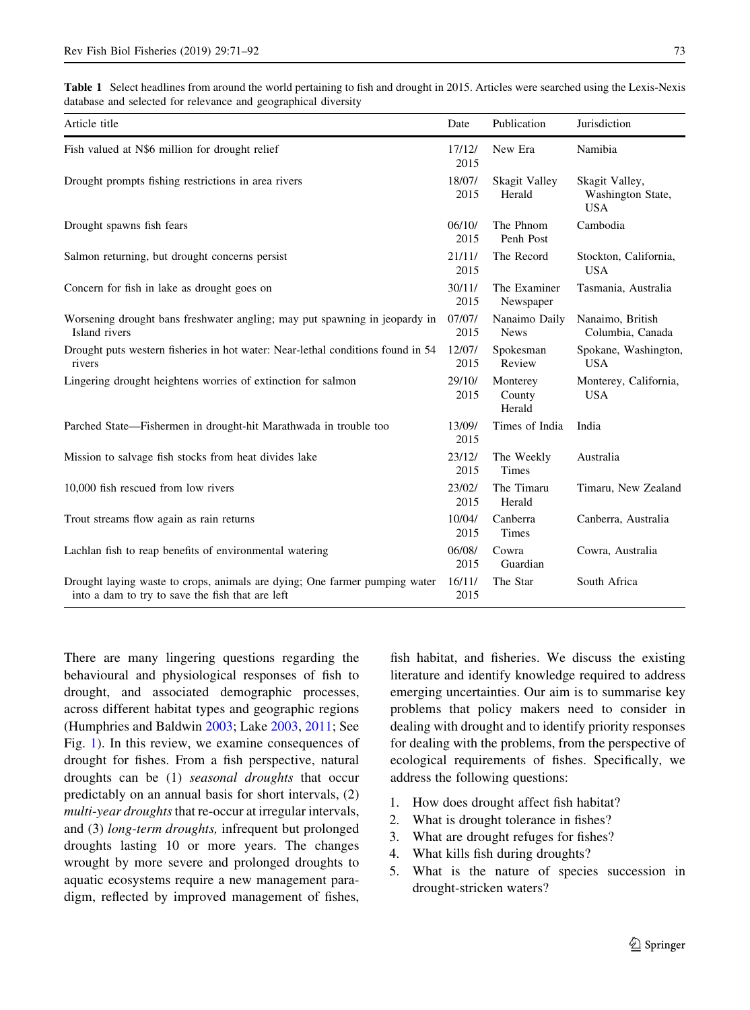<span id="page-2-0"></span>Table 1 Select headlines from around the world pertaining to fish and drought in 2015. Articles were searched using the Lexis-Nexis database and selected for relevance and geographical diversity

| Article title                                                                                                                  | Date           | Publication                  | Jurisdiction                                      |
|--------------------------------------------------------------------------------------------------------------------------------|----------------|------------------------------|---------------------------------------------------|
| Fish valued at N\$6 million for drought relief                                                                                 | 17/12/<br>2015 | New Era                      | Namibia                                           |
| Drought prompts fishing restrictions in area rivers                                                                            | 18/07/<br>2015 | Skagit Valley<br>Herald      | Skagit Valley,<br>Washington State,<br><b>USA</b> |
| Drought spawns fish fears                                                                                                      | 06/10/<br>2015 | The Phnom<br>Penh Post       | Cambodia                                          |
| Salmon returning, but drought concerns persist                                                                                 | 21/11/<br>2015 | The Record                   | Stockton, California,<br><b>USA</b>               |
| Concern for fish in lake as drought goes on                                                                                    | 30/11/<br>2015 | The Examiner<br>Newspaper    | Tasmania, Australia                               |
| Worsening drought bans freshwater angling; may put spawning in jeopardy in<br>Island rivers                                    | 07/07/<br>2015 | Nanaimo Daily<br><b>News</b> | Nanaimo, British<br>Columbia, Canada              |
| Drought puts western fisheries in hot water: Near-lethal conditions found in 54<br>rivers                                      | 12/07/<br>2015 | Spokesman<br>Review          | Spokane, Washington,<br><b>USA</b>                |
| Lingering drought heightens worries of extinction for salmon                                                                   | 29/10/<br>2015 | Monterey<br>County<br>Herald | Monterey, California,<br><b>USA</b>               |
| Parched State—Fishermen in drought-hit Marathwada in trouble too                                                               | 13/09/<br>2015 | Times of India               | India                                             |
| Mission to salvage fish stocks from heat divides lake                                                                          | 23/12/<br>2015 | The Weekly<br>Times          | Australia                                         |
| 10,000 fish rescued from low rivers                                                                                            | 23/02/<br>2015 | The Timaru<br>Herald         | Timaru, New Zealand                               |
| Trout streams flow again as rain returns                                                                                       | 10/04/<br>2015 | Canberra<br>Times            | Canberra, Australia                               |
| Lachlan fish to reap benefits of environmental watering                                                                        | 06/08/<br>2015 | Cowra<br>Guardian            | Cowra, Australia                                  |
| Drought laying waste to crops, animals are dying; One farmer pumping water<br>into a dam to try to save the fish that are left | 16/11/<br>2015 | The Star                     | South Africa                                      |

There are many lingering questions regarding the behavioural and physiological responses of fish to drought, and associated demographic processes, across different habitat types and geographic regions (Humphries and Baldwin [2003](#page-17-0); Lake [2003,](#page-18-0) [2011;](#page-18-0) See Fig. [1\)](#page-3-0). In this review, we examine consequences of drought for fishes. From a fish perspective, natural droughts can be (1) seasonal droughts that occur predictably on an annual basis for short intervals, (2) multi-year droughts that re-occur at irregular intervals, and (3) long-term droughts, infrequent but prolonged droughts lasting 10 or more years. The changes wrought by more severe and prolonged droughts to aquatic ecosystems require a new management paradigm, reflected by improved management of fishes,

fish habitat, and fisheries. We discuss the existing literature and identify knowledge required to address emerging uncertainties. Our aim is to summarise key problems that policy makers need to consider in dealing with drought and to identify priority responses for dealing with the problems, from the perspective of ecological requirements of fishes. Specifically, we address the following questions:

- 1. How does drought affect fish habitat?
- 2. What is drought tolerance in fishes?
- 3. What are drought refuges for fishes?
- 4. What kills fish during droughts?
- 5. What is the nature of species succession in drought-stricken waters?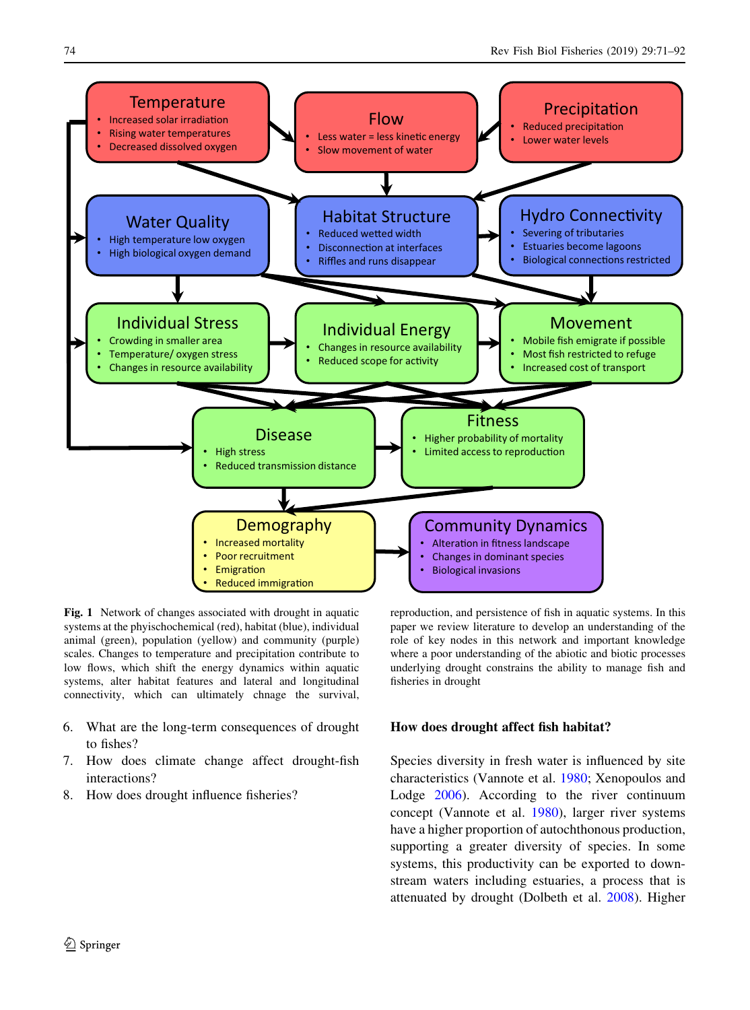<span id="page-3-0"></span>

Fig. 1 Network of changes associated with drought in aquatic systems at the phyischochemical (red), habitat (blue), individual animal (green), population (yellow) and community (purple) scales. Changes to temperature and precipitation contribute to low flows, which shift the energy dynamics within aquatic systems, alter habitat features and lateral and longitudinal connectivity, which can ultimately chnage the survival,

- 6. What are the long-term consequences of drought to fishes?
- 7. How does climate change affect drought-fish interactions?
- 8. How does drought influence fisheries?

reproduction, and persistence of fish in aquatic systems. In this paper we review literature to develop an understanding of the role of key nodes in this network and important knowledge where a poor understanding of the abiotic and biotic processes underlying drought constrains the ability to manage fish and fisheries in drought

# How does drought affect fish habitat?

Species diversity in fresh water is influenced by site characteristics (Vannote et al. [1980;](#page-21-0) Xenopoulos and Lodge [2006](#page-21-0)). According to the river continuum concept (Vannote et al. [1980\)](#page-21-0), larger river systems have a higher proportion of autochthonous production, supporting a greater diversity of species. In some systems, this productivity can be exported to downstream waters including estuaries, a process that is attenuated by drought (Dolbeth et al. [2008\)](#page-16-0). Higher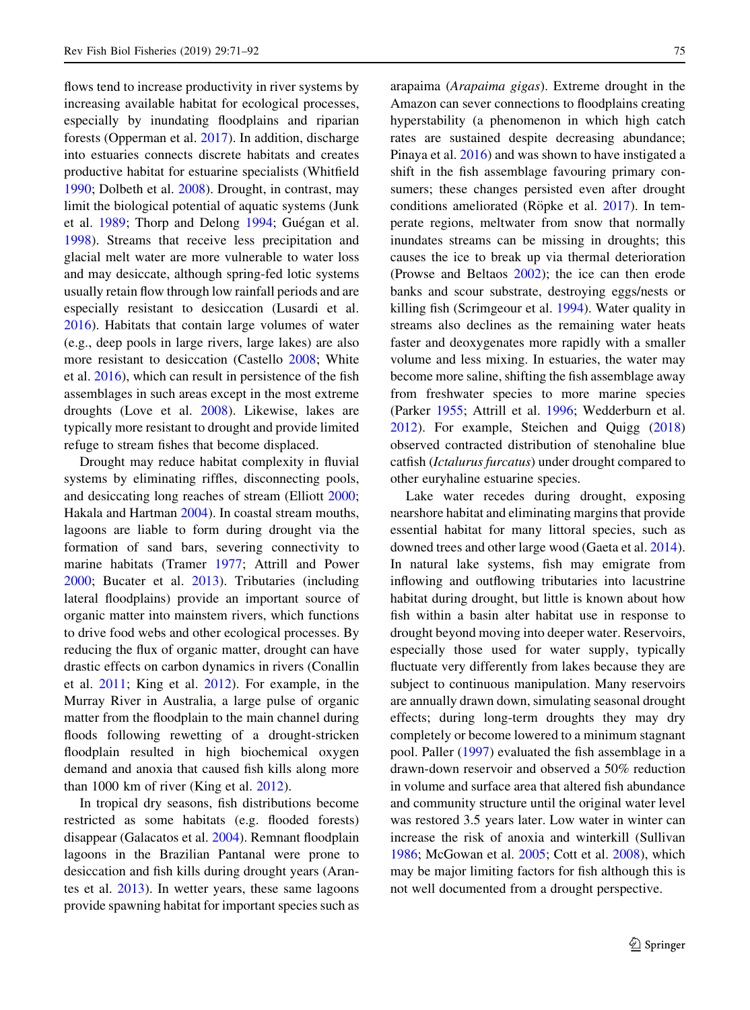flows tend to increase productivity in river systems by increasing available habitat for ecological processes, especially by inundating floodplains and riparian forests (Opperman et al. [2017](#page-19-0)). In addition, discharge into estuaries connects discrete habitats and creates productive habitat for estuarine specialists (Whitfield [1990;](#page-21-0) Dolbeth et al. [2008](#page-16-0)). Drought, in contrast, may limit the biological potential of aquatic systems (Junk et al. [1989;](#page-18-0) Thorp and Delong [1994](#page-21-0); Guégan et al. [1998\)](#page-17-0). Streams that receive less precipitation and glacial melt water are more vulnerable to water loss and may desiccate, although spring-fed lotic systems usually retain flow through low rainfall periods and are especially resistant to desiccation (Lusardi et al. [2016\)](#page-18-0). Habitats that contain large volumes of water (e.g., deep pools in large rivers, large lakes) are also more resistant to desiccation (Castello [2008;](#page-15-0) White et al. [2016\)](#page-21-0), which can result in persistence of the fish assemblages in such areas except in the most extreme droughts (Love et al. [2008](#page-18-0)). Likewise, lakes are typically more resistant to drought and provide limited refuge to stream fishes that become displaced.

Drought may reduce habitat complexity in fluvial systems by eliminating riffles, disconnecting pools, and desiccating long reaches of stream (Elliott [2000](#page-16-0); Hakala and Hartman [2004\)](#page-17-0). In coastal stream mouths, lagoons are liable to form during drought via the formation of sand bars, severing connectivity to marine habitats (Tramer [1977;](#page-21-0) Attrill and Power [2000;](#page-15-0) Bucater et al. [2013](#page-15-0)). Tributaries (including lateral floodplains) provide an important source of organic matter into mainstem rivers, which functions to drive food webs and other ecological processes. By reducing the flux of organic matter, drought can have drastic effects on carbon dynamics in rivers (Conallin et al. [2011](#page-15-0); King et al. [2012](#page-18-0)). For example, in the Murray River in Australia, a large pulse of organic matter from the floodplain to the main channel during floods following rewetting of a drought-stricken floodplain resulted in high biochemical oxygen demand and anoxia that caused fish kills along more than 1000 km of river (King et al. [2012](#page-18-0)).

In tropical dry seasons, fish distributions become restricted as some habitats (e.g. flooded forests) disappear (Galacatos et al. [2004\)](#page-17-0). Remnant floodplain lagoons in the Brazilian Pantanal were prone to desiccation and fish kills during drought years (Arantes et al. [2013\)](#page-15-0). In wetter years, these same lagoons provide spawning habitat for important species such as arapaima (Arapaima gigas). Extreme drought in the Amazon can sever connections to floodplains creating hyperstability (a phenomenon in which high catch rates are sustained despite decreasing abundance; Pinaya et al. [2016\)](#page-20-0) and was shown to have instigated a shift in the fish assemblage favouring primary consumers; these changes persisted even after drought conditions ameliorated (Röpke et al. [2017\)](#page-20-0). In temperate regions, meltwater from snow that normally inundates streams can be missing in droughts; this causes the ice to break up via thermal deterioration (Prowse and Beltaos [2002](#page-20-0)); the ice can then erode banks and scour substrate, destroying eggs/nests or killing fish (Scrimgeour et al. [1994](#page-20-0)). Water quality in streams also declines as the remaining water heats faster and deoxygenates more rapidly with a smaller volume and less mixing. In estuaries, the water may become more saline, shifting the fish assemblage away from freshwater species to more marine species (Parker [1955](#page-20-0); Attrill et al. [1996;](#page-15-0) Wedderburn et al. [2012\)](#page-21-0). For example, Steichen and Quigg ([2018\)](#page-21-0) observed contracted distribution of stenohaline blue catfish (Ictalurus furcatus) under drought compared to other euryhaline estuarine species.

Lake water recedes during drought, exposing nearshore habitat and eliminating margins that provide essential habitat for many littoral species, such as downed trees and other large wood (Gaeta et al. [2014](#page-17-0)). In natural lake systems, fish may emigrate from inflowing and outflowing tributaries into lacustrine habitat during drought, but little is known about how fish within a basin alter habitat use in response to drought beyond moving into deeper water. Reservoirs, especially those used for water supply, typically fluctuate very differently from lakes because they are subject to continuous manipulation. Many reservoirs are annually drawn down, simulating seasonal drought effects; during long-term droughts they may dry completely or become lowered to a minimum stagnant pool. Paller [\(1997](#page-19-0)) evaluated the fish assemblage in a drawn-down reservoir and observed a 50% reduction in volume and surface area that altered fish abundance and community structure until the original water level was restored 3.5 years later. Low water in winter can increase the risk of anoxia and winterkill (Sullivan [1986;](#page-21-0) McGowan et al. [2005](#page-19-0); Cott et al. [2008](#page-16-0)), which may be major limiting factors for fish although this is not well documented from a drought perspective.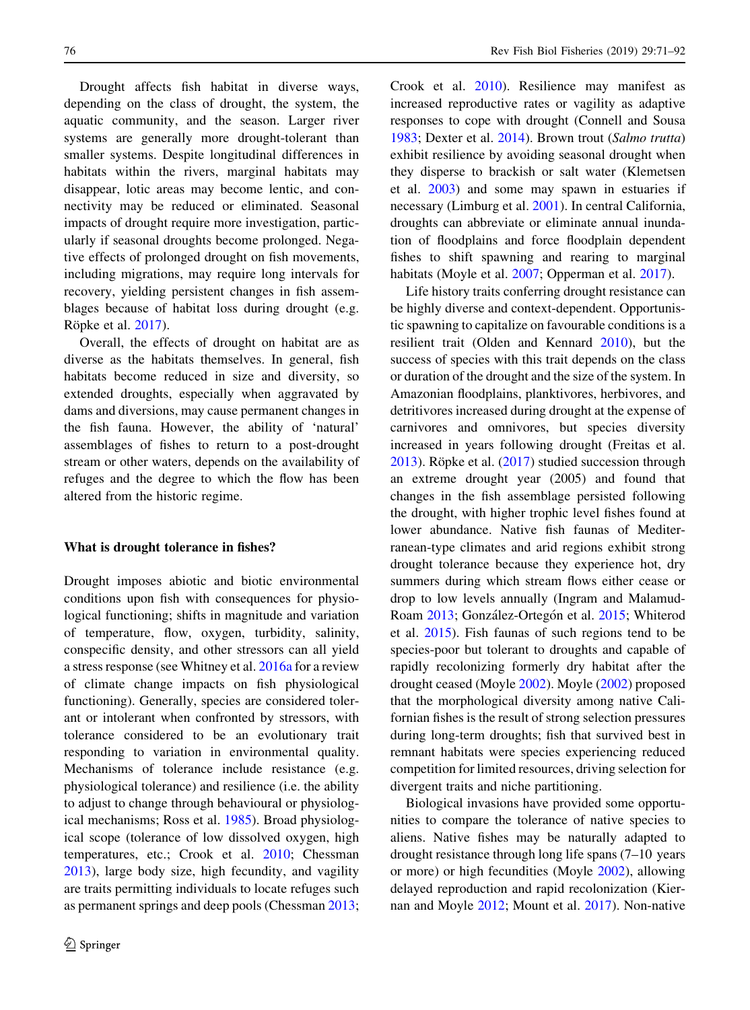Drought affects fish habitat in diverse ways, depending on the class of drought, the system, the aquatic community, and the season. Larger river systems are generally more drought-tolerant than smaller systems. Despite longitudinal differences in habitats within the rivers, marginal habitats may disappear, lotic areas may become lentic, and connectivity may be reduced or eliminated. Seasonal impacts of drought require more investigation, particularly if seasonal droughts become prolonged. Negative effects of prolonged drought on fish movements, including migrations, may require long intervals for recovery, yielding persistent changes in fish assemblages because of habitat loss during drought (e.g. Röpke et al. [2017](#page-20-0)).

Overall, the effects of drought on habitat are as diverse as the habitats themselves. In general, fish habitats become reduced in size and diversity, so extended droughts, especially when aggravated by dams and diversions, may cause permanent changes in the fish fauna. However, the ability of 'natural' assemblages of fishes to return to a post-drought stream or other waters, depends on the availability of refuges and the degree to which the flow has been altered from the historic regime.

# What is drought tolerance in fishes?

Drought imposes abiotic and biotic environmental conditions upon fish with consequences for physiological functioning; shifts in magnitude and variation of temperature, flow, oxygen, turbidity, salinity, conspecific density, and other stressors can all yield a stress response (see Whitney et al. [2016a](#page-21-0) for a review of climate change impacts on fish physiological functioning). Generally, species are considered tolerant or intolerant when confronted by stressors, with tolerance considered to be an evolutionary trait responding to variation in environmental quality. Mechanisms of tolerance include resistance (e.g. physiological tolerance) and resilience (i.e. the ability to adjust to change through behavioural or physiological mechanisms; Ross et al. [1985\)](#page-20-0). Broad physiological scope (tolerance of low dissolved oxygen, high temperatures, etc.; Crook et al. [2010;](#page-16-0) Chessman [2013\)](#page-15-0), large body size, high fecundity, and vagility are traits permitting individuals to locate refuges such as permanent springs and deep pools (Chessman [2013](#page-15-0);

Crook et al. [2010](#page-16-0)). Resilience may manifest as increased reproductive rates or vagility as adaptive responses to cope with drought (Connell and Sousa [1983;](#page-15-0) Dexter et al. [2014](#page-16-0)). Brown trout (Salmo trutta) exhibit resilience by avoiding seasonal drought when they disperse to brackish or salt water (Klemetsen et al. [2003\)](#page-18-0) and some may spawn in estuaries if necessary (Limburg et al. [2001\)](#page-18-0). In central California, droughts can abbreviate or eliminate annual inundation of floodplains and force floodplain dependent fishes to shift spawning and rearing to marginal habitats (Moyle et al. [2007;](#page-19-0) Opperman et al. [2017\)](#page-19-0).

Life history traits conferring drought resistance can be highly diverse and context-dependent. Opportunistic spawning to capitalize on favourable conditions is a resilient trait (Olden and Kennard [2010](#page-19-0)), but the success of species with this trait depends on the class or duration of the drought and the size of the system. In Amazonian floodplains, planktivores, herbivores, and detritivores increased during drought at the expense of carnivores and omnivores, but species diversity increased in years following drought (Freitas et al.  $2013$ ). Röpke et al.  $(2017)$  $(2017)$  studied succession through an extreme drought year (2005) and found that changes in the fish assemblage persisted following the drought, with higher trophic level fishes found at lower abundance. Native fish faunas of Mediterranean-type climates and arid regions exhibit strong drought tolerance because they experience hot, dry summers during which stream flows either cease or drop to low levels annually (Ingram and Malamud-Roam [2013;](#page-17-0) González-Ortegón et al. [2015;](#page-17-0) Whiterod et al. [2015\)](#page-21-0). Fish faunas of such regions tend to be species-poor but tolerant to droughts and capable of rapidly recolonizing formerly dry habitat after the drought ceased (Moyle [2002\)](#page-19-0). Moyle [\(2002](#page-19-0)) proposed that the morphological diversity among native Californian fishes is the result of strong selection pressures during long-term droughts; fish that survived best in remnant habitats were species experiencing reduced competition for limited resources, driving selection for divergent traits and niche partitioning.

Biological invasions have provided some opportunities to compare the tolerance of native species to aliens. Native fishes may be naturally adapted to drought resistance through long life spans (7–10 years or more) or high fecundities (Moyle [2002](#page-19-0)), allowing delayed reproduction and rapid recolonization (Kiernan and Moyle [2012;](#page-18-0) Mount et al. [2017\)](#page-19-0). Non-native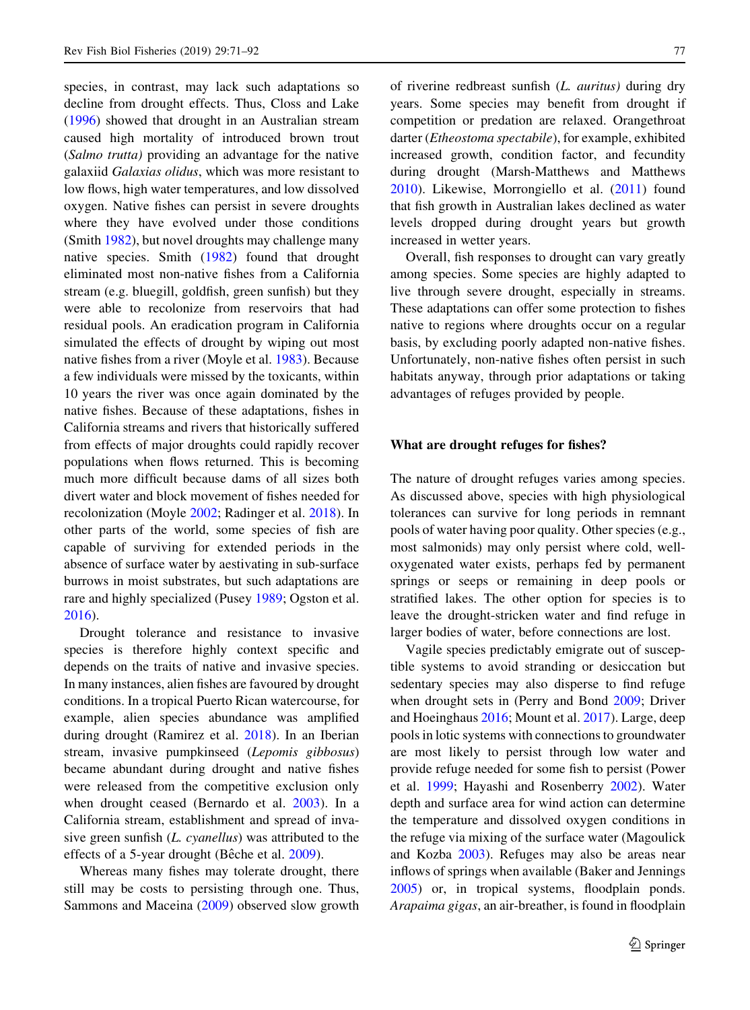species, in contrast, may lack such adaptations so decline from drought effects. Thus, Closs and Lake [\(1996](#page-15-0)) showed that drought in an Australian stream caused high mortality of introduced brown trout (Salmo trutta) providing an advantage for the native galaxiid Galaxias olidus, which was more resistant to low flows, high water temperatures, and low dissolved oxygen. Native fishes can persist in severe droughts where they have evolved under those conditions (Smith [1982](#page-20-0)), but novel droughts may challenge many native species. Smith ([1982\)](#page-20-0) found that drought eliminated most non-native fishes from a California stream (e.g. bluegill, goldfish, green sunfish) but they were able to recolonize from reservoirs that had residual pools. An eradication program in California simulated the effects of drought by wiping out most native fishes from a river (Moyle et al. [1983\)](#page-19-0). Because a few individuals were missed by the toxicants, within 10 years the river was once again dominated by the native fishes. Because of these adaptations, fishes in California streams and rivers that historically suffered from effects of major droughts could rapidly recover populations when flows returned. This is becoming much more difficult because dams of all sizes both divert water and block movement of fishes needed for recolonization (Moyle [2002;](#page-19-0) Radinger et al. [2018](#page-20-0)). In other parts of the world, some species of fish are capable of surviving for extended periods in the absence of surface water by aestivating in sub-surface burrows in moist substrates, but such adaptations are rare and highly specialized (Pusey [1989](#page-20-0); Ogston et al. [2016\)](#page-19-0).

Drought tolerance and resistance to invasive species is therefore highly context specific and depends on the traits of native and invasive species. In many instances, alien fishes are favoured by drought conditions. In a tropical Puerto Rican watercourse, for example, alien species abundance was amplified during drought (Ramirez et al. [2018](#page-20-0)). In an Iberian stream, invasive pumpkinseed (Lepomis gibbosus) became abundant during drought and native fishes were released from the competitive exclusion only when drought ceased (Bernardo et al. [2003\)](#page-15-0). In a California stream, establishment and spread of invasive green sunfish  $(L. cyanellus)$  was attributed to the effects of a 5-year drought (Bêche et al. [2009\)](#page-15-0).

Whereas many fishes may tolerate drought, there still may be costs to persisting through one. Thus, Sammons and Maceina [\(2009](#page-20-0)) observed slow growth of riverine redbreast sunfish (L. auritus) during dry years. Some species may benefit from drought if competition or predation are relaxed. Orangethroat darter (Etheostoma spectabile), for example, exhibited increased growth, condition factor, and fecundity during drought (Marsh-Matthews and Matthews [2010\)](#page-19-0). Likewise, Morrongiello et al. ([2011\)](#page-19-0) found that fish growth in Australian lakes declined as water levels dropped during drought years but growth increased in wetter years.

Overall, fish responses to drought can vary greatly among species. Some species are highly adapted to live through severe drought, especially in streams. These adaptations can offer some protection to fishes native to regions where droughts occur on a regular basis, by excluding poorly adapted non-native fishes. Unfortunately, non-native fishes often persist in such habitats anyway, through prior adaptations or taking advantages of refuges provided by people.

#### What are drought refuges for fishes?

The nature of drought refuges varies among species. As discussed above, species with high physiological tolerances can survive for long periods in remnant pools of water having poor quality. Other species (e.g., most salmonids) may only persist where cold, welloxygenated water exists, perhaps fed by permanent springs or seeps or remaining in deep pools or stratified lakes. The other option for species is to leave the drought-stricken water and find refuge in larger bodies of water, before connections are lost.

Vagile species predictably emigrate out of susceptible systems to avoid stranding or desiccation but sedentary species may also disperse to find refuge when drought sets in (Perry and Bond [2009;](#page-20-0) Driver and Hoeinghaus [2016](#page-16-0); Mount et al. [2017\)](#page-19-0). Large, deep pools in lotic systems with connections to groundwater are most likely to persist through low water and provide refuge needed for some fish to persist (Power et al. [1999](#page-20-0); Hayashi and Rosenberry [2002](#page-17-0)). Water depth and surface area for wind action can determine the temperature and dissolved oxygen conditions in the refuge via mixing of the surface water (Magoulick and Kozba [2003](#page-18-0)). Refuges may also be areas near inflows of springs when available (Baker and Jennings [2005\)](#page-15-0) or, in tropical systems, floodplain ponds. Arapaima gigas, an air-breather, is found in floodplain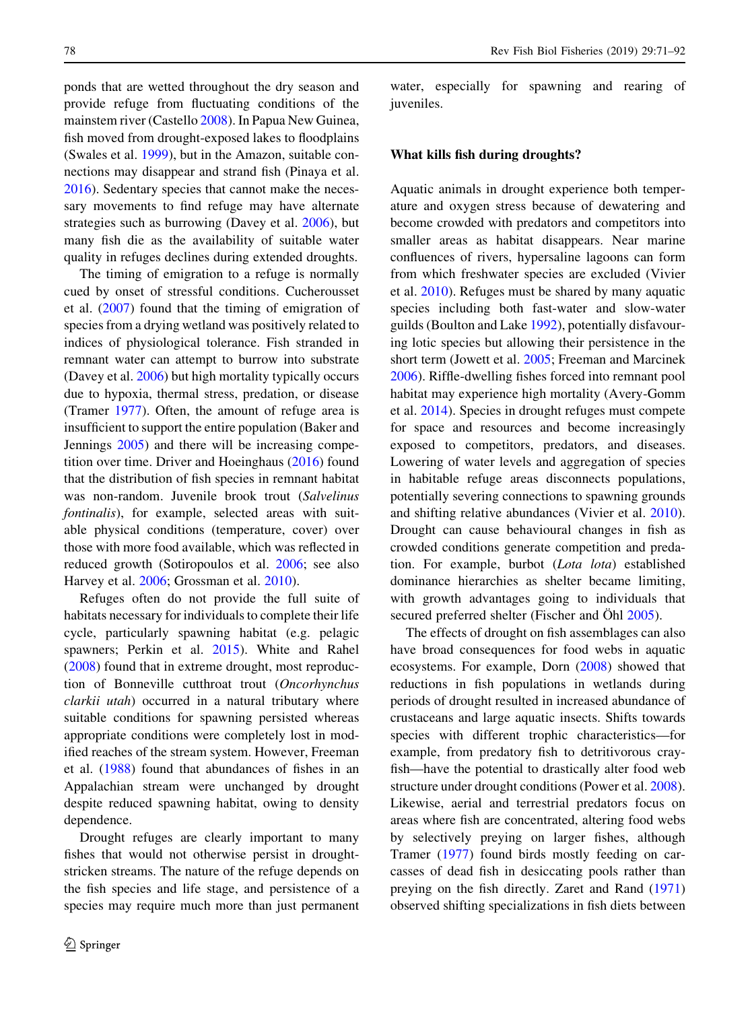ponds that are wetted throughout the dry season and provide refuge from fluctuating conditions of the mainstem river (Castello [2008](#page-15-0)). In Papua New Guinea, fish moved from drought-exposed lakes to floodplains (Swales et al. [1999\)](#page-21-0), but in the Amazon, suitable connections may disappear and strand fish (Pinaya et al. [2016\)](#page-20-0). Sedentary species that cannot make the necessary movements to find refuge may have alternate strategies such as burrowing (Davey et al. [2006\)](#page-16-0), but many fish die as the availability of suitable water quality in refuges declines during extended droughts.

The timing of emigration to a refuge is normally cued by onset of stressful conditions. Cucherousset et al. ([2007\)](#page-16-0) found that the timing of emigration of species from a drying wetland was positively related to indices of physiological tolerance. Fish stranded in remnant water can attempt to burrow into substrate (Davey et al. [2006\)](#page-16-0) but high mortality typically occurs due to hypoxia, thermal stress, predation, or disease (Tramer [1977\)](#page-21-0). Often, the amount of refuge area is insufficient to support the entire population (Baker and Jennings [2005](#page-15-0)) and there will be increasing competition over time. Driver and Hoeinghaus [\(2016](#page-16-0)) found that the distribution of fish species in remnant habitat was non-random. Juvenile brook trout (Salvelinus fontinalis), for example, selected areas with suitable physical conditions (temperature, cover) over those with more food available, which was reflected in reduced growth (Sotiropoulos et al. [2006](#page-21-0); see also Harvey et al. [2006;](#page-17-0) Grossman et al. [2010\)](#page-17-0).

Refuges often do not provide the full suite of habitats necessary for individuals to complete their life cycle, particularly spawning habitat (e.g. pelagic spawners; Perkin et al. [2015](#page-20-0)). White and Rahel [\(2008](#page-21-0)) found that in extreme drought, most reproduction of Bonneville cutthroat trout (Oncorhynchus clarkii utah) occurred in a natural tributary where suitable conditions for spawning persisted whereas appropriate conditions were completely lost in modified reaches of the stream system. However, Freeman et al. ([1988\)](#page-17-0) found that abundances of fishes in an Appalachian stream were unchanged by drought despite reduced spawning habitat, owing to density dependence.

Drought refuges are clearly important to many fishes that would not otherwise persist in droughtstricken streams. The nature of the refuge depends on the fish species and life stage, and persistence of a species may require much more than just permanent water, especially for spawning and rearing of juveniles.

### What kills fish during droughts?

Aquatic animals in drought experience both temperature and oxygen stress because of dewatering and become crowded with predators and competitors into smaller areas as habitat disappears. Near marine confluences of rivers, hypersaline lagoons can form from which freshwater species are excluded (Vivier et al. [2010](#page-21-0)). Refuges must be shared by many aquatic species including both fast-water and slow-water guilds (Boulton and Lake [1992\)](#page-15-0), potentially disfavouring lotic species but allowing their persistence in the short term (Jowett et al. [2005](#page-18-0); Freeman and Marcinek [2006\)](#page-17-0). Riffle-dwelling fishes forced into remnant pool habitat may experience high mortality (Avery-Gomm et al. [2014\)](#page-15-0). Species in drought refuges must compete for space and resources and become increasingly exposed to competitors, predators, and diseases. Lowering of water levels and aggregation of species in habitable refuge areas disconnects populations, potentially severing connections to spawning grounds and shifting relative abundances (Vivier et al. [2010](#page-21-0)). Drought can cause behavioural changes in fish as crowded conditions generate competition and predation. For example, burbot (Lota lota) established dominance hierarchies as shelter became limiting, with growth advantages going to individuals that secured preferred shelter (Fischer and Öhl [2005\)](#page-16-0).

The effects of drought on fish assemblages can also have broad consequences for food webs in aquatic ecosystems. For example, Dorn [\(2008](#page-16-0)) showed that reductions in fish populations in wetlands during periods of drought resulted in increased abundance of crustaceans and large aquatic insects. Shifts towards species with different trophic characteristics—for example, from predatory fish to detritivorous crayfish—have the potential to drastically alter food web structure under drought conditions (Power et al. [2008](#page-20-0)). Likewise, aerial and terrestrial predators focus on areas where fish are concentrated, altering food webs by selectively preying on larger fishes, although Tramer [\(1977](#page-21-0)) found birds mostly feeding on carcasses of dead fish in desiccating pools rather than preying on the fish directly. Zaret and Rand ([1971\)](#page-21-0) observed shifting specializations in fish diets between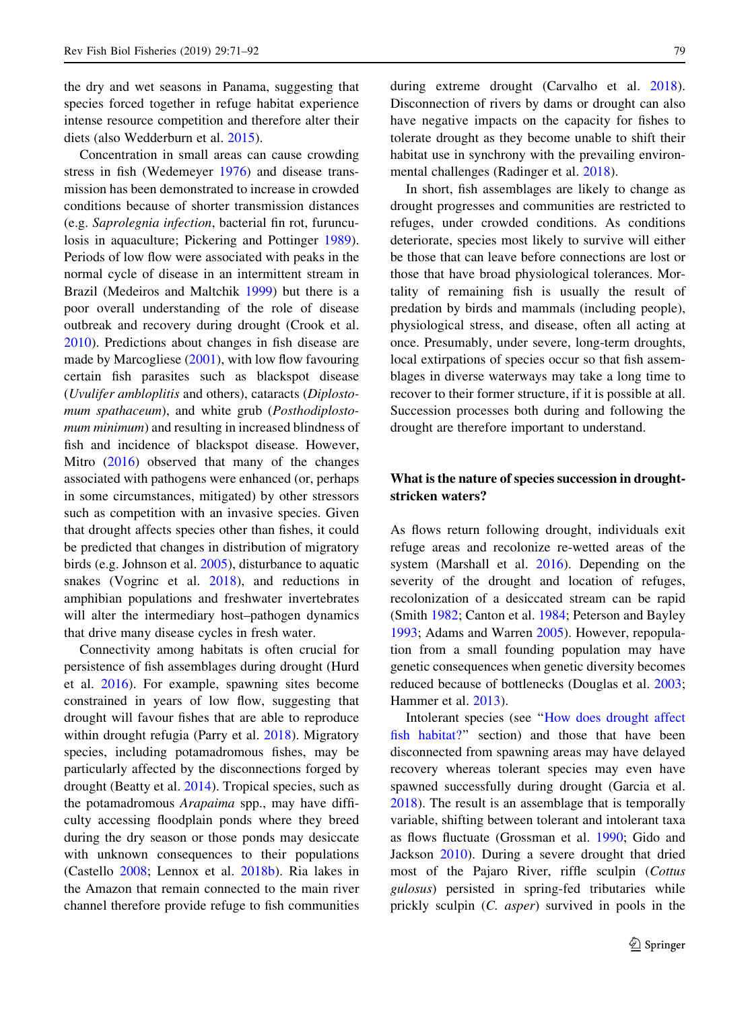the dry and wet seasons in Panama, suggesting that species forced together in refuge habitat experience intense resource competition and therefore alter their diets (also Wedderburn et al. [2015](#page-21-0)).

Concentration in small areas can cause crowding stress in fish (Wedemeyer [1976\)](#page-21-0) and disease transmission has been demonstrated to increase in crowded conditions because of shorter transmission distances (e.g. Saprolegnia infection, bacterial fin rot, furunculosis in aquaculture; Pickering and Pottinger [1989](#page-20-0)). Periods of low flow were associated with peaks in the normal cycle of disease in an intermittent stream in Brazil (Medeiros and Maltchik [1999\)](#page-19-0) but there is a poor overall understanding of the role of disease outbreak and recovery during drought (Crook et al. [2010\)](#page-16-0). Predictions about changes in fish disease are made by Marcogliese  $(2001)$  $(2001)$ , with low flow favouring certain fish parasites such as blackspot disease (Uvulifer ambloplitis and others), cataracts (Diplostomum spathaceum), and white grub (Posthodiplostomum minimum) and resulting in increased blindness of fish and incidence of blackspot disease. However, Mitro ([2016\)](#page-19-0) observed that many of the changes associated with pathogens were enhanced (or, perhaps in some circumstances, mitigated) by other stressors such as competition with an invasive species. Given that drought affects species other than fishes, it could be predicted that changes in distribution of migratory birds (e.g. Johnson et al. [2005](#page-18-0)), disturbance to aquatic snakes (Vogrinc et al. [2018\)](#page-21-0), and reductions in amphibian populations and freshwater invertebrates will alter the intermediary host–pathogen dynamics that drive many disease cycles in fresh water.

Connectivity among habitats is often crucial for persistence of fish assemblages during drought (Hurd et al. [2016\)](#page-17-0). For example, spawning sites become constrained in years of low flow, suggesting that drought will favour fishes that are able to reproduce within drought refugia (Parry et al. [2018\)](#page-20-0). Migratory species, including potamadromous fishes, may be particularly affected by the disconnections forged by drought (Beatty et al. [2014](#page-15-0)). Tropical species, such as the potamadromous Arapaima spp., may have difficulty accessing floodplain ponds where they breed during the dry season or those ponds may desiccate with unknown consequences to their populations (Castello [2008](#page-15-0); Lennox et al. [2018b\)](#page-18-0). Ria lakes in the Amazon that remain connected to the main river channel therefore provide refuge to fish communities during extreme drought (Carvalho et al. [2018](#page-15-0)). Disconnection of rivers by dams or drought can also have negative impacts on the capacity for fishes to tolerate drought as they become unable to shift their habitat use in synchrony with the prevailing environmental challenges (Radinger et al. [2018\)](#page-20-0).

In short, fish assemblages are likely to change as drought progresses and communities are restricted to refuges, under crowded conditions. As conditions deteriorate, species most likely to survive will either be those that can leave before connections are lost or those that have broad physiological tolerances. Mortality of remaining fish is usually the result of predation by birds and mammals (including people), physiological stress, and disease, often all acting at once. Presumably, under severe, long-term droughts, local extirpations of species occur so that fish assemblages in diverse waterways may take a long time to recover to their former structure, if it is possible at all. Succession processes both during and following the drought are therefore important to understand.

# What is the nature of species succession in droughtstricken waters?

As flows return following drought, individuals exit refuge areas and recolonize re-wetted areas of the system (Marshall et al. [2016](#page-19-0)). Depending on the severity of the drought and location of refuges, recolonization of a desiccated stream can be rapid (Smith [1982;](#page-20-0) Canton et al. [1984;](#page-15-0) Peterson and Bayley [1993;](#page-20-0) Adams and Warren [2005](#page-15-0)). However, repopulation from a small founding population may have genetic consequences when genetic diversity becomes reduced because of bottlenecks (Douglas et al. [2003](#page-16-0); Hammer et al. [2013](#page-17-0)).

Intolerant species (see '['How does drought affect](#page-3-0) [fish habitat?](#page-3-0)'' section) and those that have been disconnected from spawning areas may have delayed recovery whereas tolerant species may even have spawned successfully during drought (Garcia et al. [2018\)](#page-17-0). The result is an assemblage that is temporally variable, shifting between tolerant and intolerant taxa as flows fluctuate (Grossman et al. [1990;](#page-17-0) Gido and Jackson [2010](#page-17-0)). During a severe drought that dried most of the Pajaro River, riffle sculpin (Cottus gulosus) persisted in spring-fed tributaries while prickly sculpin (C. asper) survived in pools in the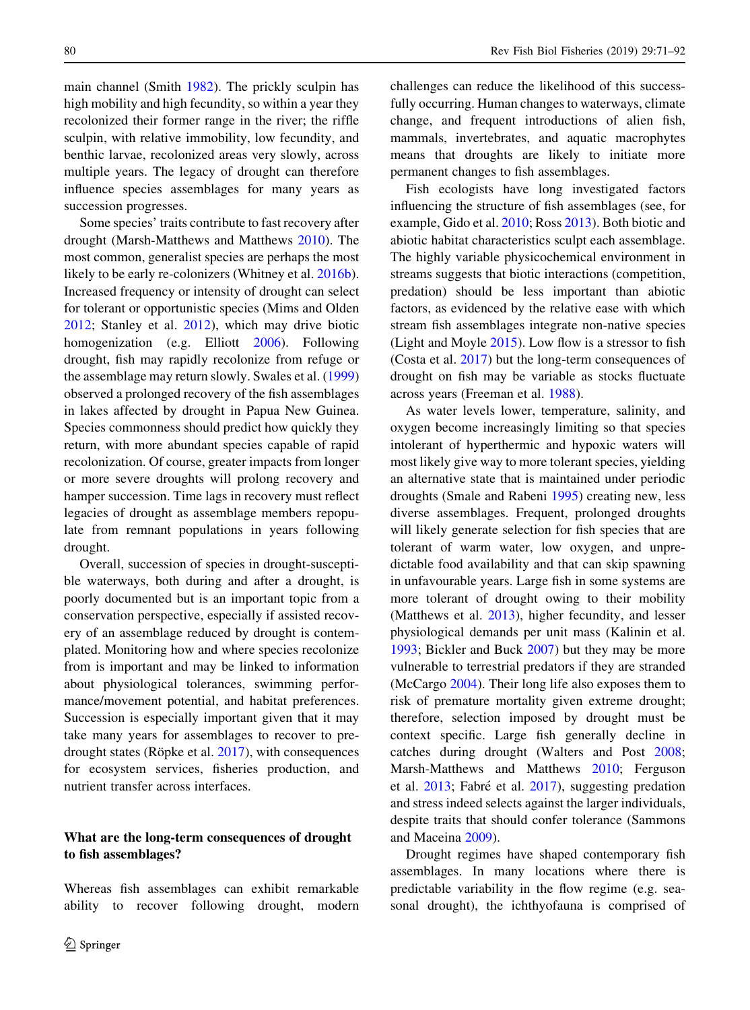main channel (Smith [1982\)](#page-20-0). The prickly sculpin has high mobility and high fecundity, so within a year they recolonized their former range in the river; the riffle sculpin, with relative immobility, low fecundity, and benthic larvae, recolonized areas very slowly, across multiple years. The legacy of drought can therefore influence species assemblages for many years as succession progresses.

Some species' traits contribute to fast recovery after drought (Marsh-Matthews and Matthews [2010](#page-19-0)). The most common, generalist species are perhaps the most likely to be early re-colonizers (Whitney et al. [2016b](#page-21-0)). Increased frequency or intensity of drought can select for tolerant or opportunistic species (Mims and Olden [2012;](#page-19-0) Stanley et al. [2012\)](#page-21-0), which may drive biotic homogenization (e.g. Elliott [2006](#page-16-0)). Following drought, fish may rapidly recolonize from refuge or the assemblage may return slowly. Swales et al. ([1999\)](#page-21-0) observed a prolonged recovery of the fish assemblages in lakes affected by drought in Papua New Guinea. Species commonness should predict how quickly they return, with more abundant species capable of rapid recolonization. Of course, greater impacts from longer or more severe droughts will prolong recovery and hamper succession. Time lags in recovery must reflect legacies of drought as assemblage members repopulate from remnant populations in years following drought.

Overall, succession of species in drought-susceptible waterways, both during and after a drought, is poorly documented but is an important topic from a conservation perspective, especially if assisted recovery of an assemblage reduced by drought is contemplated. Monitoring how and where species recolonize from is important and may be linked to information about physiological tolerances, swimming performance/movement potential, and habitat preferences. Succession is especially important given that it may take many years for assemblages to recover to predrought states (Röpke et al.  $2017$ ), with consequences for ecosystem services, fisheries production, and nutrient transfer across interfaces.

# What are the long-term consequences of drought to fish assemblages?

Whereas fish assemblages can exhibit remarkable ability to recover following drought, modern challenges can reduce the likelihood of this successfully occurring. Human changes to waterways, climate change, and frequent introductions of alien fish, mammals, invertebrates, and aquatic macrophytes means that droughts are likely to initiate more permanent changes to fish assemblages.

Fish ecologists have long investigated factors influencing the structure of fish assemblages (see, for example, Gido et al. [2010](#page-17-0); Ross [2013\)](#page-20-0). Both biotic and abiotic habitat characteristics sculpt each assemblage. The highly variable physicochemical environment in streams suggests that biotic interactions (competition, predation) should be less important than abiotic factors, as evidenced by the relative ease with which stream fish assemblages integrate non-native species (Light and Moyle [2015\)](#page-18-0). Low flow is a stressor to fish (Costa et al. [2017\)](#page-16-0) but the long-term consequences of drought on fish may be variable as stocks fluctuate across years (Freeman et al. [1988](#page-17-0)).

As water levels lower, temperature, salinity, and oxygen become increasingly limiting so that species intolerant of hyperthermic and hypoxic waters will most likely give way to more tolerant species, yielding an alternative state that is maintained under periodic droughts (Smale and Rabeni [1995](#page-20-0)) creating new, less diverse assemblages. Frequent, prolonged droughts will likely generate selection for fish species that are tolerant of warm water, low oxygen, and unpredictable food availability and that can skip spawning in unfavourable years. Large fish in some systems are more tolerant of drought owing to their mobility (Matthews et al. [2013](#page-19-0)), higher fecundity, and lesser physiological demands per unit mass (Kalinin et al. [1993;](#page-18-0) Bickler and Buck [2007\)](#page-15-0) but they may be more vulnerable to terrestrial predators if they are stranded (McCargo [2004](#page-19-0)). Their long life also exposes them to risk of premature mortality given extreme drought; therefore, selection imposed by drought must be context specific. Large fish generally decline in catches during drought (Walters and Post [2008](#page-21-0); Marsh-Matthews and Matthews [2010](#page-19-0); Ferguson et al. [2013](#page-16-0); Fabré et al. [2017\)](#page-16-0), suggesting predation and stress indeed selects against the larger individuals, despite traits that should confer tolerance (Sammons and Maceina [2009](#page-20-0)).

Drought regimes have shaped contemporary fish assemblages. In many locations where there is predictable variability in the flow regime (e.g. seasonal drought), the ichthyofauna is comprised of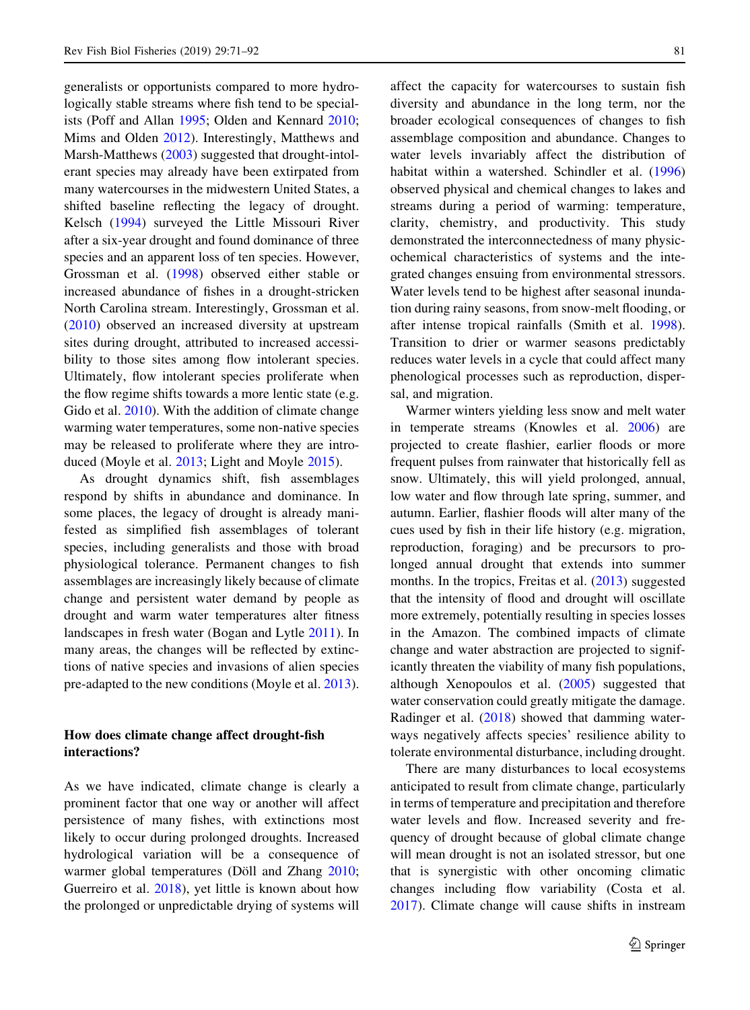generalists or opportunists compared to more hydrologically stable streams where fish tend to be specialists (Poff and Allan [1995](#page-20-0); Olden and Kennard [2010](#page-19-0); Mims and Olden [2012](#page-19-0)). Interestingly, Matthews and Marsh-Matthews ([2003\)](#page-19-0) suggested that drought-intolerant species may already have been extirpated from many watercourses in the midwestern United States, a shifted baseline reflecting the legacy of drought. Kelsch [\(1994](#page-18-0)) surveyed the Little Missouri River after a six-year drought and found dominance of three species and an apparent loss of ten species. However, Grossman et al. ([1998\)](#page-17-0) observed either stable or increased abundance of fishes in a drought-stricken North Carolina stream. Interestingly, Grossman et al. [\(2010](#page-17-0)) observed an increased diversity at upstream sites during drought, attributed to increased accessibility to those sites among flow intolerant species. Ultimately, flow intolerant species proliferate when the flow regime shifts towards a more lentic state (e.g. Gido et al. [2010\)](#page-17-0). With the addition of climate change warming water temperatures, some non-native species may be released to proliferate where they are introduced (Moyle et al. [2013](#page-19-0); Light and Moyle [2015\)](#page-18-0).

As drought dynamics shift, fish assemblages respond by shifts in abundance and dominance. In some places, the legacy of drought is already manifested as simplified fish assemblages of tolerant species, including generalists and those with broad physiological tolerance. Permanent changes to fish assemblages are increasingly likely because of climate change and persistent water demand by people as drought and warm water temperatures alter fitness landscapes in fresh water (Bogan and Lytle [2011](#page-15-0)). In many areas, the changes will be reflected by extinctions of native species and invasions of alien species pre-adapted to the new conditions (Moyle et al. [2013](#page-19-0)).

# How does climate change affect drought-fish interactions?

As we have indicated, climate change is clearly a prominent factor that one way or another will affect persistence of many fishes, with extinctions most likely to occur during prolonged droughts. Increased hydrological variation will be a consequence of warmer global temperatures (Döll and Zhang [2010](#page-16-0); Guerreiro et al. [2018\)](#page-17-0), yet little is known about how the prolonged or unpredictable drying of systems will

affect the capacity for watercourses to sustain fish diversity and abundance in the long term, nor the broader ecological consequences of changes to fish assemblage composition and abundance. Changes to water levels invariably affect the distribution of habitat within a watershed. Schindler et al. ([1996\)](#page-20-0) observed physical and chemical changes to lakes and streams during a period of warming: temperature, clarity, chemistry, and productivity. This study demonstrated the interconnectedness of many physicochemical characteristics of systems and the integrated changes ensuing from environmental stressors. Water levels tend to be highest after seasonal inundation during rainy seasons, from snow-melt flooding, or after intense tropical rainfalls (Smith et al. [1998](#page-21-0)). Transition to drier or warmer seasons predictably reduces water levels in a cycle that could affect many phenological processes such as reproduction, dispersal, and migration.

Warmer winters yielding less snow and melt water in temperate streams (Knowles et al. [2006](#page-18-0)) are projected to create flashier, earlier floods or more frequent pulses from rainwater that historically fell as snow. Ultimately, this will yield prolonged, annual, low water and flow through late spring, summer, and autumn. Earlier, flashier floods will alter many of the cues used by fish in their life history (e.g. migration, reproduction, foraging) and be precursors to prolonged annual drought that extends into summer months. In the tropics, Freitas et al. ([2013\)](#page-17-0) suggested that the intensity of flood and drought will oscillate more extremely, potentially resulting in species losses in the Amazon. The combined impacts of climate change and water abstraction are projected to significantly threaten the viability of many fish populations, although Xenopoulos et al. [\(2005](#page-21-0)) suggested that water conservation could greatly mitigate the damage. Radinger et al. [\(2018](#page-20-0)) showed that damming waterways negatively affects species' resilience ability to tolerate environmental disturbance, including drought.

There are many disturbances to local ecosystems anticipated to result from climate change, particularly in terms of temperature and precipitation and therefore water levels and flow. Increased severity and frequency of drought because of global climate change will mean drought is not an isolated stressor, but one that is synergistic with other oncoming climatic changes including flow variability (Costa et al. [2017\)](#page-16-0). Climate change will cause shifts in instream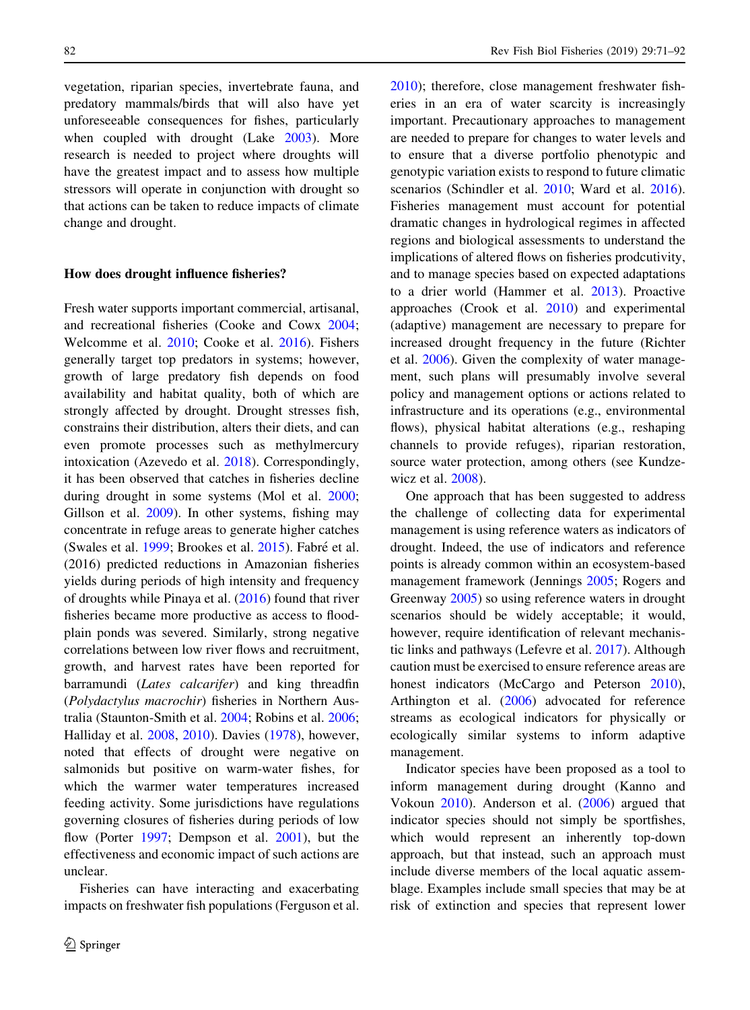vegetation, riparian species, invertebrate fauna, and predatory mammals/birds that will also have yet unforeseeable consequences for fishes, particularly when coupled with drought (Lake [2003\)](#page-18-0). More research is needed to project where droughts will have the greatest impact and to assess how multiple stressors will operate in conjunction with drought so that actions can be taken to reduce impacts of climate change and drought.

#### How does drought influence fisheries?

Fresh water supports important commercial, artisanal, and recreational fisheries (Cooke and Cowx [2004](#page-15-0); Welcomme et al. [2010;](#page-21-0) Cooke et al. [2016\)](#page-15-0). Fishers generally target top predators in systems; however, growth of large predatory fish depends on food availability and habitat quality, both of which are strongly affected by drought. Drought stresses fish, constrains their distribution, alters their diets, and can even promote processes such as methylmercury intoxication (Azevedo et al. [2018\)](#page-15-0). Correspondingly, it has been observed that catches in fisheries decline during drought in some systems (Mol et al. [2000](#page-19-0); Gillson et al. [2009\)](#page-17-0). In other systems, fishing may concentrate in refuge areas to generate higher catches (Swales et al. [1999;](#page-21-0) Brookes et al. [2015](#page-15-0)). Fabré et al. (2016) predicted reductions in Amazonian fisheries yields during periods of high intensity and frequency of droughts while Pinaya et al. [\(2016](#page-20-0)) found that river fisheries became more productive as access to floodplain ponds was severed. Similarly, strong negative correlations between low river flows and recruitment, growth, and harvest rates have been reported for barramundi (Lates calcarifer) and king threadfin (Polydactylus macrochir) fisheries in Northern Australia (Staunton-Smith et al. [2004;](#page-21-0) Robins et al. [2006](#page-20-0); Halliday et al. [2008,](#page-17-0) [2010](#page-17-0)). Davies [\(1978](#page-16-0)), however, noted that effects of drought were negative on salmonids but positive on warm-water fishes, for which the warmer water temperatures increased feeding activity. Some jurisdictions have regulations governing closures of fisheries during periods of low flow (Porter [1997](#page-20-0); Dempson et al. [2001](#page-16-0)), but the effectiveness and economic impact of such actions are unclear.

Fisheries can have interacting and exacerbating impacts on freshwater fish populations (Ferguson et al.

[2010\)](#page-16-0); therefore, close management freshwater fisheries in an era of water scarcity is increasingly important. Precautionary approaches to management are needed to prepare for changes to water levels and to ensure that a diverse portfolio phenotypic and genotypic variation exists to respond to future climatic scenarios (Schindler et al. [2010;](#page-20-0) Ward et al. [2016](#page-21-0)). Fisheries management must account for potential dramatic changes in hydrological regimes in affected regions and biological assessments to understand the implications of altered flows on fisheries prodcutivity, and to manage species based on expected adaptations to a drier world (Hammer et al. [2013](#page-17-0)). Proactive approaches (Crook et al. [2010\)](#page-16-0) and experimental (adaptive) management are necessary to prepare for increased drought frequency in the future (Richter et al. [2006](#page-20-0)). Given the complexity of water management, such plans will presumably involve several policy and management options or actions related to infrastructure and its operations (e.g., environmental flows), physical habitat alterations (e.g., reshaping channels to provide refuges), riparian restoration, source water protection, among others (see Kundzewicz et al. [2008](#page-18-0)).

One approach that has been suggested to address the challenge of collecting data for experimental management is using reference waters as indicators of drought. Indeed, the use of indicators and reference points is already common within an ecosystem-based management framework (Jennings [2005](#page-18-0); Rogers and Greenway [2005\)](#page-20-0) so using reference waters in drought scenarios should be widely acceptable; it would, however, require identification of relevant mechanistic links and pathways (Lefevre et al. [2017](#page-18-0)). Although caution must be exercised to ensure reference areas are honest indicators (McCargo and Peterson [2010](#page-19-0)), Arthington et al. [\(2006](#page-15-0)) advocated for reference streams as ecological indicators for physically or ecologically similar systems to inform adaptive management.

Indicator species have been proposed as a tool to inform management during drought (Kanno and Vokoun [2010\)](#page-18-0). Anderson et al. [\(2006](#page-15-0)) argued that indicator species should not simply be sportfishes, which would represent an inherently top-down approach, but that instead, such an approach must include diverse members of the local aquatic assemblage. Examples include small species that may be at risk of extinction and species that represent lower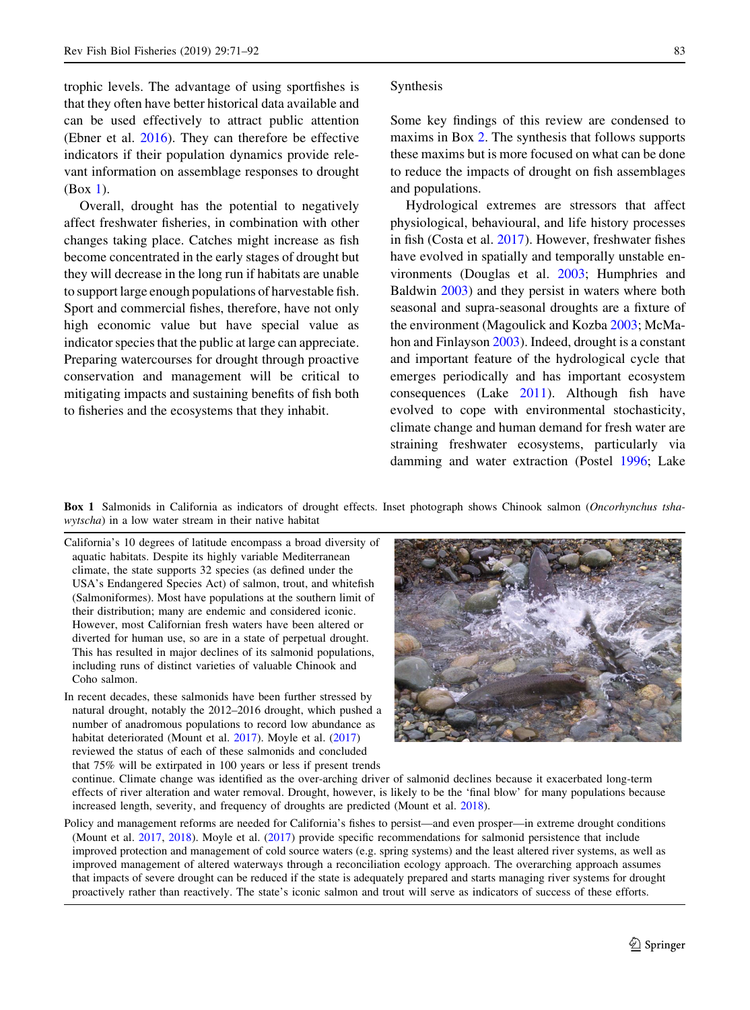<span id="page-12-0"></span>trophic levels. The advantage of using sportfishes is that they often have better historical data available and can be used effectively to attract public attention (Ebner et al. [2016](#page-16-0)). They can therefore be effective indicators if their population dynamics provide relevant information on assemblage responses to drought (Box 1).

Overall, drought has the potential to negatively affect freshwater fisheries, in combination with other changes taking place. Catches might increase as fish become concentrated in the early stages of drought but they will decrease in the long run if habitats are unable to support large enough populations of harvestable fish. Sport and commercial fishes, therefore, have not only high economic value but have special value as indicator species that the public at large can appreciate. Preparing watercourses for drought through proactive conservation and management will be critical to mitigating impacts and sustaining benefits of fish both to fisheries and the ecosystems that they inhabit.

## Synthesis

Some key findings of this review are condensed to maxims in Box [2.](#page-13-0) The synthesis that follows supports these maxims but is more focused on what can be done to reduce the impacts of drought on fish assemblages and populations.

Hydrological extremes are stressors that affect physiological, behavioural, and life history processes in fish (Costa et al. [2017\)](#page-16-0). However, freshwater fishes have evolved in spatially and temporally unstable environments (Douglas et al. [2003;](#page-16-0) Humphries and Baldwin [2003\)](#page-17-0) and they persist in waters where both seasonal and supra-seasonal droughts are a fixture of the environment (Magoulick and Kozba [2003](#page-18-0); McMahon and Finlayson [2003\)](#page-19-0). Indeed, drought is a constant and important feature of the hydrological cycle that emerges periodically and has important ecosystem consequences (Lake [2011](#page-18-0)). Although fish have evolved to cope with environmental stochasticity, climate change and human demand for fresh water are straining freshwater ecosystems, particularly via damming and water extraction (Postel [1996](#page-20-0); Lake

Box 1 Salmonids in California as indicators of drought effects. Inset photograph shows Chinook salmon (Oncorhynchus tshawytscha) in a low water stream in their native habitat

- California's 10 degrees of latitude encompass a broad diversity of aquatic habitats. Despite its highly variable Mediterranean climate, the state supports 32 species (as defined under the USA's Endangered Species Act) of salmon, trout, and whitefish (Salmoniformes). Most have populations at the southern limit of their distribution; many are endemic and considered iconic. However, most Californian fresh waters have been altered or diverted for human use, so are in a state of perpetual drought. This has resulted in major declines of its salmonid populations, including runs of distinct varieties of valuable Chinook and Coho salmon.
- In recent decades, these salmonids have been further stressed by natural drought, notably the 2012–2016 drought, which pushed a number of anadromous populations to record low abundance as habitat deteriorated (Mount et al. [2017\)](#page-19-0). Moyle et al. [\(2017](#page-19-0)) reviewed the status of each of these salmonids and concluded that 75% will be extirpated in 100 years or less if present trends



continue. Climate change was identified as the over-arching driver of salmonid declines because it exacerbated long-term effects of river alteration and water removal. Drought, however, is likely to be the 'final blow' for many populations because increased length, severity, and frequency of droughts are predicted (Mount et al. [2018](#page-19-0)).

Policy and management reforms are needed for California's fishes to persist—and even prosper—in extreme drought conditions (Mount et al. [2017](#page-19-0), [2018\)](#page-19-0). Moyle et al. ([2017\)](#page-19-0) provide specific recommendations for salmonid persistence that include improved protection and management of cold source waters (e.g. spring systems) and the least altered river systems, as well as improved management of altered waterways through a reconciliation ecology approach. The overarching approach assumes that impacts of severe drought can be reduced if the state is adequately prepared and starts managing river systems for drought proactively rather than reactively. The state's iconic salmon and trout will serve as indicators of success of these efforts.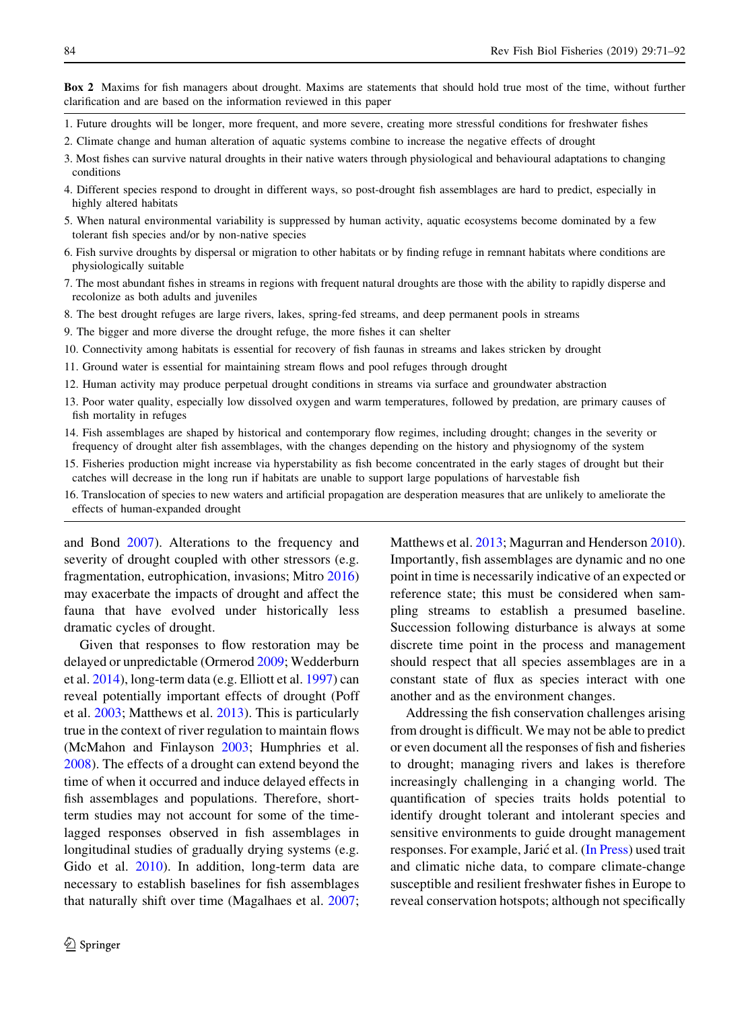<span id="page-13-0"></span>Box 2 Maxims for fish managers about drought. Maxims are statements that should hold true most of the time, without further clarification and are based on the information reviewed in this paper

- 1. Future droughts will be longer, more frequent, and more severe, creating more stressful conditions for freshwater fishes
- 2. Climate change and human alteration of aquatic systems combine to increase the negative effects of drought
- 3. Most fishes can survive natural droughts in their native waters through physiological and behavioural adaptations to changing conditions
- 4. Different species respond to drought in different ways, so post-drought fish assemblages are hard to predict, especially in highly altered habitats
- 5. When natural environmental variability is suppressed by human activity, aquatic ecosystems become dominated by a few tolerant fish species and/or by non-native species
- 6. Fish survive droughts by dispersal or migration to other habitats or by finding refuge in remnant habitats where conditions are physiologically suitable
- 7. The most abundant fishes in streams in regions with frequent natural droughts are those with the ability to rapidly disperse and recolonize as both adults and juveniles
- 8. The best drought refuges are large rivers, lakes, spring-fed streams, and deep permanent pools in streams
- 9. The bigger and more diverse the drought refuge, the more fishes it can shelter
- 10. Connectivity among habitats is essential for recovery of fish faunas in streams and lakes stricken by drought
- 11. Ground water is essential for maintaining stream flows and pool refuges through drought
- 12. Human activity may produce perpetual drought conditions in streams via surface and groundwater abstraction
- 13. Poor water quality, especially low dissolved oxygen and warm temperatures, followed by predation, are primary causes of fish mortality in refuges
- 14. Fish assemblages are shaped by historical and contemporary flow regimes, including drought; changes in the severity or frequency of drought alter fish assemblages, with the changes depending on the history and physiognomy of the system
- 15. Fisheries production might increase via hyperstability as fish become concentrated in the early stages of drought but their catches will decrease in the long run if habitats are unable to support large populations of harvestable fish
- 16. Translocation of species to new waters and artificial propagation are desperation measures that are unlikely to ameliorate the effects of human-expanded drought

and Bond [2007\)](#page-18-0). Alterations to the frequency and severity of drought coupled with other stressors (e.g. fragmentation, eutrophication, invasions; Mitro [2016\)](#page-19-0) may exacerbate the impacts of drought and affect the fauna that have evolved under historically less dramatic cycles of drought.

Given that responses to flow restoration may be delayed or unpredictable (Ormerod [2009;](#page-19-0) Wedderburn et al. [2014\)](#page-21-0), long-term data (e.g. Elliott et al. [1997](#page-16-0)) can reveal potentially important effects of drought (Poff et al. [2003;](#page-20-0) Matthews et al. [2013](#page-19-0)). This is particularly true in the context of river regulation to maintain flows (McMahon and Finlayson [2003;](#page-19-0) Humphries et al. [2008\)](#page-17-0). The effects of a drought can extend beyond the time of when it occurred and induce delayed effects in fish assemblages and populations. Therefore, shortterm studies may not account for some of the timelagged responses observed in fish assemblages in longitudinal studies of gradually drying systems (e.g. Gido et al. [2010\)](#page-17-0). In addition, long-term data are necessary to establish baselines for fish assemblages that naturally shift over time (Magalhaes et al. [2007](#page-18-0);

Matthews et al. [2013](#page-19-0); Magurran and Henderson [2010](#page-18-0)). Importantly, fish assemblages are dynamic and no one point in time is necessarily indicative of an expected or reference state; this must be considered when sampling streams to establish a presumed baseline. Succession following disturbance is always at some discrete time point in the process and management should respect that all species assemblages are in a constant state of flux as species interact with one another and as the environment changes.

Addressing the fish conservation challenges arising from drought is difficult. We may not be able to predict or even document all the responses of fish and fisheries to drought; managing rivers and lakes is therefore increasingly challenging in a changing world. The quantification of species traits holds potential to identify drought tolerant and intolerant species and sensitive environments to guide drought management responses. For example, Jarić et al. [\(In Press\)](#page-18-0) used trait and climatic niche data, to compare climate-change susceptible and resilient freshwater fishes in Europe to reveal conservation hotspots; although not specifically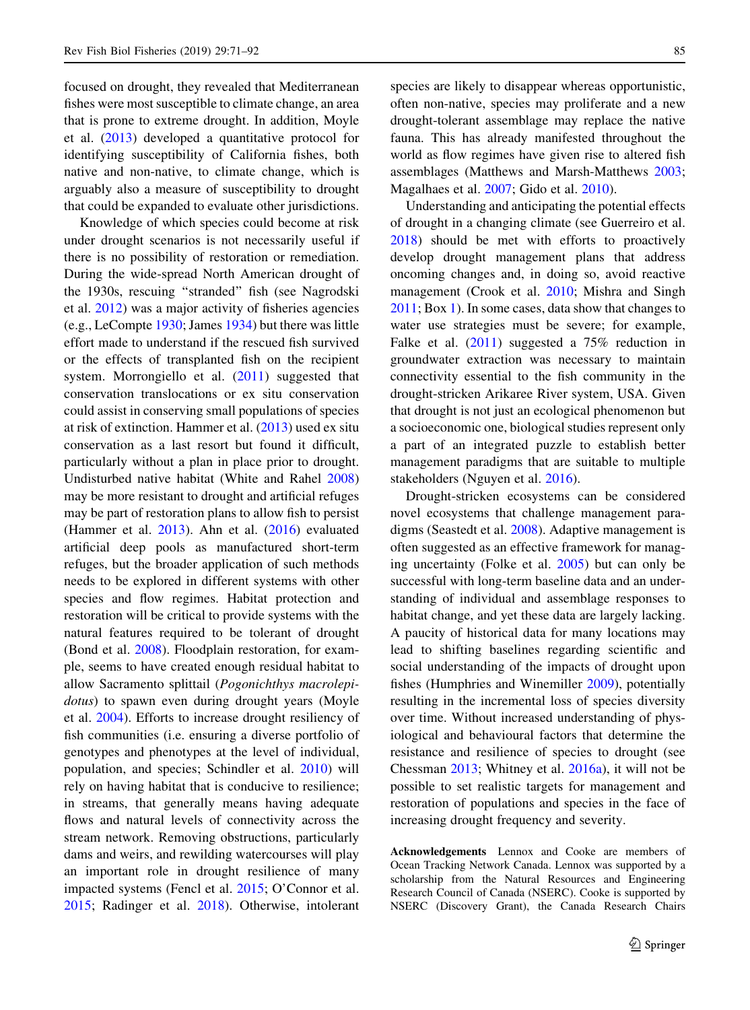focused on drought, they revealed that Mediterranean fishes were most susceptible to climate change, an area that is prone to extreme drought. In addition, Moyle et al. ([2013\)](#page-19-0) developed a quantitative protocol for identifying susceptibility of California fishes, both native and non-native, to climate change, which is arguably also a measure of susceptibility to drought that could be expanded to evaluate other jurisdictions.

Knowledge of which species could become at risk under drought scenarios is not necessarily useful if there is no possibility of restoration or remediation. During the wide-spread North American drought of the 1930s, rescuing ''stranded'' fish (see Nagrodski et al. [2012](#page-19-0)) was a major activity of fisheries agencies (e.g., LeCompte [1930](#page-18-0); James [1934](#page-18-0)) but there was little effort made to understand if the rescued fish survived or the effects of transplanted fish on the recipient system. Morrongiello et al. [\(2011](#page-19-0)) suggested that conservation translocations or ex situ conservation could assist in conserving small populations of species at risk of extinction. Hammer et al. [\(2013](#page-17-0)) used ex situ conservation as a last resort but found it difficult, particularly without a plan in place prior to drought. Undisturbed native habitat (White and Rahel [2008\)](#page-21-0) may be more resistant to drought and artificial refuges may be part of restoration plans to allow fish to persist (Hammer et al. [2013](#page-17-0)). Ahn et al. [\(2016](#page-15-0)) evaluated artificial deep pools as manufactured short-term refuges, but the broader application of such methods needs to be explored in different systems with other species and flow regimes. Habitat protection and restoration will be critical to provide systems with the natural features required to be tolerant of drought (Bond et al. [2008](#page-15-0)). Floodplain restoration, for example, seems to have created enough residual habitat to allow Sacramento splittail (Pogonichthys macrolepidotus) to spawn even during drought years (Moyle et al. [2004](#page-19-0)). Efforts to increase drought resiliency of fish communities (i.e. ensuring a diverse portfolio of genotypes and phenotypes at the level of individual, population, and species; Schindler et al. [2010](#page-20-0)) will rely on having habitat that is conducive to resilience; in streams, that generally means having adequate flows and natural levels of connectivity across the stream network. Removing obstructions, particularly dams and weirs, and rewilding watercourses will play an important role in drought resilience of many impacted systems (Fencl et al. [2015;](#page-16-0) O'Connor et al. [2015;](#page-19-0) Radinger et al. [2018\)](#page-20-0). Otherwise, intolerant

species are likely to disappear whereas opportunistic, often non-native, species may proliferate and a new drought-tolerant assemblage may replace the native fauna. This has already manifested throughout the world as flow regimes have given rise to altered fish assemblages (Matthews and Marsh-Matthews [2003](#page-19-0); Magalhaes et al. [2007;](#page-18-0) Gido et al. [2010\)](#page-17-0).

Understanding and anticipating the potential effects of drought in a changing climate (see Guerreiro et al. [2018\)](#page-17-0) should be met with efforts to proactively develop drought management plans that address oncoming changes and, in doing so, avoid reactive management (Crook et al. [2010;](#page-16-0) Mishra and Singh [2011;](#page-19-0) Box [1](#page-12-0)). In some cases, data show that changes to water use strategies must be severe; for example, Falke et al. [\(2011](#page-16-0)) suggested a 75% reduction in groundwater extraction was necessary to maintain connectivity essential to the fish community in the drought-stricken Arikaree River system, USA. Given that drought is not just an ecological phenomenon but a socioeconomic one, biological studies represent only a part of an integrated puzzle to establish better management paradigms that are suitable to multiple stakeholders (Nguyen et al. [2016\)](#page-19-0).

Drought-stricken ecosystems can be considered novel ecosystems that challenge management paradigms (Seastedt et al. [2008\)](#page-20-0). Adaptive management is often suggested as an effective framework for managing uncertainty (Folke et al. [2005\)](#page-16-0) but can only be successful with long-term baseline data and an understanding of individual and assemblage responses to habitat change, and yet these data are largely lacking. A paucity of historical data for many locations may lead to shifting baselines regarding scientific and social understanding of the impacts of drought upon fishes (Humphries and Winemiller [2009](#page-17-0)), potentially resulting in the incremental loss of species diversity over time. Without increased understanding of physiological and behavioural factors that determine the resistance and resilience of species to drought (see Chessman [2013;](#page-15-0) Whitney et al. [2016a](#page-21-0)), it will not be possible to set realistic targets for management and restoration of populations and species in the face of increasing drought frequency and severity.

Acknowledgements Lennox and Cooke are members of Ocean Tracking Network Canada. Lennox was supported by a scholarship from the Natural Resources and Engineering Research Council of Canada (NSERC). Cooke is supported by NSERC (Discovery Grant), the Canada Research Chairs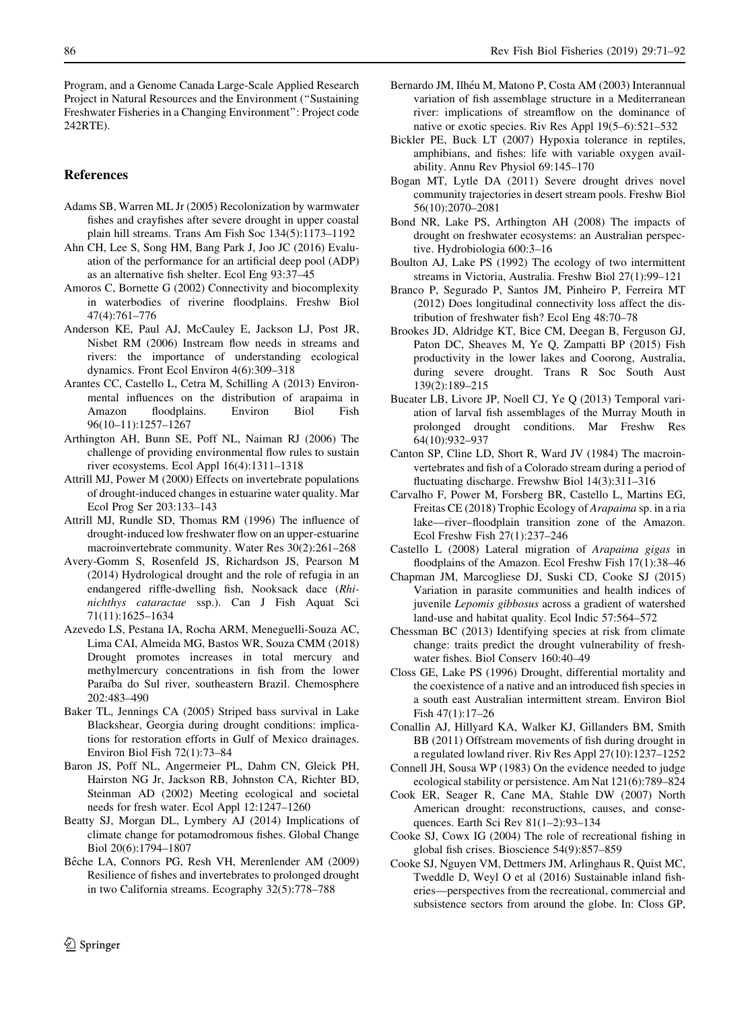<span id="page-15-0"></span>Program, and a Genome Canada Large-Scale Applied Research Project in Natural Resources and the Environment (''Sustaining Freshwater Fisheries in a Changing Environment'': Project code 242RTE).

#### References

- Adams SB, Warren ML Jr (2005) Recolonization by warmwater fishes and crayfishes after severe drought in upper coastal plain hill streams. Trans Am Fish Soc 134(5):1173–1192
- Ahn CH, Lee S, Song HM, Bang Park J, Joo JC (2016) Evaluation of the performance for an artificial deep pool (ADP) as an alternative fish shelter. Ecol Eng 93:37–45
- Amoros C, Bornette G (2002) Connectivity and biocomplexity in waterbodies of riverine floodplains. Freshw Biol 47(4):761–776
- Anderson KE, Paul AJ, McCauley E, Jackson LJ, Post JR, Nisbet RM (2006) Instream flow needs in streams and rivers: the importance of understanding ecological dynamics. Front Ecol Environ 4(6):309–318
- Arantes CC, Castello L, Cetra M, Schilling A (2013) Environmental influences on the distribution of arapaima in floodplains. 96(10–11):1257–1267
- Arthington AH, Bunn SE, Poff NL, Naiman RJ (2006) The challenge of providing environmental flow rules to sustain river ecosystems. Ecol Appl 16(4):1311–1318
- Attrill MJ, Power M (2000) Effects on invertebrate populations of drought-induced changes in estuarine water quality. Mar Ecol Prog Ser 203:133–143
- Attrill MJ, Rundle SD, Thomas RM (1996) The influence of drought-induced low freshwater flow on an upper-estuarine macroinvertebrate community. Water Res 30(2):261–268
- Avery-Gomm S, Rosenfeld JS, Richardson JS, Pearson M (2014) Hydrological drought and the role of refugia in an endangered riffle-dwelling fish, Nooksack dace (Rhinichthys cataractae ssp.). Can J Fish Aquat Sci 71(11):1625–1634
- Azevedo LS, Pestana IA, Rocha ARM, Meneguelli-Souza AC, Lima CAI, Almeida MG, Bastos WR, Souza CMM (2018) Drought promotes increases in total mercury and methylmercury concentrations in fish from the lower Paraíba do Sul river, southeastern Brazil. Chemosphere 202:483–490
- Baker TL, Jennings CA (2005) Striped bass survival in Lake Blackshear, Georgia during drought conditions: implications for restoration efforts in Gulf of Mexico drainages. Environ Biol Fish 72(1):73–84
- Baron JS, Poff NL, Angermeier PL, Dahm CN, Gleick PH, Hairston NG Jr, Jackson RB, Johnston CA, Richter BD, Steinman AD (2002) Meeting ecological and societal needs for fresh water. Ecol Appl 12:1247–1260
- Beatty SJ, Morgan DL, Lymbery AJ (2014) Implications of climate change for potamodromous fishes. Global Change Biol 20(6):1794–1807
- Bêche LA, Connors PG, Resh VH, Merenlender AM (2009) Resilience of fishes and invertebrates to prolonged drought in two California streams. Ecography 32(5):778–788
- Bernardo JM, Ilhéu M, Matono P, Costa AM (2003) Interannual variation of fish assemblage structure in a Mediterranean river: implications of streamflow on the dominance of native or exotic species. Riv Res Appl 19(5–6):521–532
- Bickler PE, Buck LT (2007) Hypoxia tolerance in reptiles, amphibians, and fishes: life with variable oxygen availability. Annu Rev Physiol 69:145–170
- Bogan MT, Lytle DA (2011) Severe drought drives novel community trajectories in desert stream pools. Freshw Biol 56(10):2070–2081
- Bond NR, Lake PS, Arthington AH (2008) The impacts of drought on freshwater ecosystems: an Australian perspective. Hydrobiologia 600:3–16
- Boulton AJ, Lake PS (1992) The ecology of two intermittent streams in Victoria, Australia. Freshw Biol 27(1):99–121
- Branco P, Segurado P, Santos JM, Pinheiro P, Ferreira MT (2012) Does longitudinal connectivity loss affect the distribution of freshwater fish? Ecol Eng 48:70–78
- Brookes JD, Aldridge KT, Bice CM, Deegan B, Ferguson GJ, Paton DC, Sheaves M, Ye Q, Zampatti BP (2015) Fish productivity in the lower lakes and Coorong, Australia, during severe drought. Trans R Soc South Aust 139(2):189–215
- Bucater LB, Livore JP, Noell CJ, Ye Q (2013) Temporal variation of larval fish assemblages of the Murray Mouth in prolonged drought conditions. Mar Freshw Res 64(10):932–937
- Canton SP, Cline LD, Short R, Ward JV (1984) The macroinvertebrates and fish of a Colorado stream during a period of fluctuating discharge. Frewshw Biol 14(3):311–316
- Carvalho F, Power M, Forsberg BR, Castello L, Martins EG, Freitas CE (2018) Trophic Ecology of Arapaima sp. in a ria lake—river–floodplain transition zone of the Amazon. Ecol Freshw Fish 27(1):237–246
- Castello L (2008) Lateral migration of Arapaima gigas in floodplains of the Amazon. Ecol Freshw Fish 17(1):38–46
- Chapman JM, Marcogliese DJ, Suski CD, Cooke SJ (2015) Variation in parasite communities and health indices of juvenile Lepomis gibbosus across a gradient of watershed land-use and habitat quality. Ecol Indic 57:564–572
- Chessman BC (2013) Identifying species at risk from climate change: traits predict the drought vulnerability of freshwater fishes. Biol Conserv 160:40–49
- Closs GE, Lake PS (1996) Drought, differential mortality and the coexistence of a native and an introduced fish species in a south east Australian intermittent stream. Environ Biol Fish 47(1):17–26
- Conallin AJ, Hillyard KA, Walker KJ, Gillanders BM, Smith BB (2011) Offstream movements of fish during drought in a regulated lowland river. Riv Res Appl 27(10):1237–1252
- Connell JH, Sousa WP (1983) On the evidence needed to judge ecological stability or persistence. Am Nat 121(6):789–824
- Cook ER, Seager R, Cane MA, Stahle DW (2007) North American drought: reconstructions, causes, and consequences. Earth Sci Rev 81(1–2):93–134
- Cooke SJ, Cowx IG (2004) The role of recreational fishing in global fish crises. Bioscience 54(9):857–859
- Cooke SJ, Nguyen VM, Dettmers JM, Arlinghaus R, Quist MC, Tweddle D, Weyl O et al (2016) Sustainable inland fisheries—perspectives from the recreational, commercial and subsistence sectors from around the globe. In: Closs GP,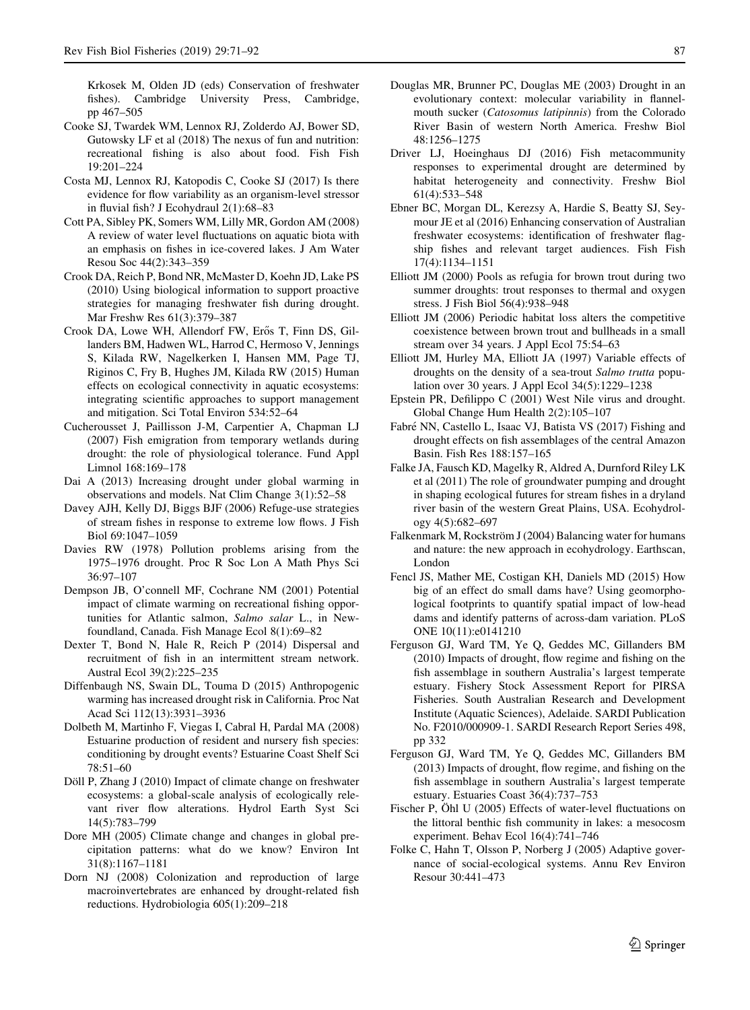<span id="page-16-0"></span>Krkosek M, Olden JD (eds) Conservation of freshwater fishes). Cambridge University Press, Cambridge, pp 467–505

- Cooke SJ, Twardek WM, Lennox RJ, Zolderdo AJ, Bower SD, Gutowsky LF et al (2018) The nexus of fun and nutrition: recreational fishing is also about food. Fish Fish 19:201–224
- Costa MJ, Lennox RJ, Katopodis C, Cooke SJ (2017) Is there evidence for flow variability as an organism-level stressor in fluvial fish? J Ecohydraul 2(1):68–83
- Cott PA, Sibley PK, Somers WM, Lilly MR, Gordon AM (2008) A review of water level fluctuations on aquatic biota with an emphasis on fishes in ice-covered lakes. J Am Water Resou Soc 44(2):343–359
- Crook DA, Reich P, Bond NR, McMaster D, Koehn JD, Lake PS (2010) Using biological information to support proactive strategies for managing freshwater fish during drought. Mar Freshw Res 61(3):379–387
- Crook DA, Lowe WH, Allendorf FW, Erős T, Finn DS, Gillanders BM, Hadwen WL, Harrod C, Hermoso V, Jennings S, Kilada RW, Nagelkerken I, Hansen MM, Page TJ, Riginos C, Fry B, Hughes JM, Kilada RW (2015) Human effects on ecological connectivity in aquatic ecosystems: integrating scientific approaches to support management and mitigation. Sci Total Environ 534:52–64
- Cucherousset J, Paillisson J-M, Carpentier A, Chapman LJ (2007) Fish emigration from temporary wetlands during drought: the role of physiological tolerance. Fund Appl Limnol 168:169–178
- Dai A (2013) Increasing drought under global warming in observations and models. Nat Clim Change 3(1):52–58
- Davey AJH, Kelly DJ, Biggs BJF (2006) Refuge-use strategies of stream fishes in response to extreme low flows. J Fish Biol 69:1047–1059
- Davies RW (1978) Pollution problems arising from the 1975–1976 drought. Proc R Soc Lon A Math Phys Sci 36:97–107
- Dempson JB, O'connell MF, Cochrane NM (2001) Potential impact of climate warming on recreational fishing opportunities for Atlantic salmon, Salmo salar L., in Newfoundland, Canada. Fish Manage Ecol 8(1):69–82
- Dexter T, Bond N, Hale R, Reich P (2014) Dispersal and recruitment of fish in an intermittent stream network. Austral Ecol 39(2):225–235
- Diffenbaugh NS, Swain DL, Touma D (2015) Anthropogenic warming has increased drought risk in California. Proc Nat Acad Sci 112(13):3931–3936
- Dolbeth M, Martinho F, Viegas I, Cabral H, Pardal MA (2008) Estuarine production of resident and nursery fish species: conditioning by drought events? Estuarine Coast Shelf Sci 78:51–60
- Döll P, Zhang J (2010) Impact of climate change on freshwater ecosystems: a global-scale analysis of ecologically relevant river flow alterations. Hydrol Earth Syst Sci 14(5):783–799
- Dore MH (2005) Climate change and changes in global precipitation patterns: what do we know? Environ Int 31(8):1167–1181
- Dorn NJ (2008) Colonization and reproduction of large macroinvertebrates are enhanced by drought-related fish reductions. Hydrobiologia 605(1):209–218
- Douglas MR, Brunner PC, Douglas ME (2003) Drought in an evolutionary context: molecular variability in flannelmouth sucker (Catosomus latipinnis) from the Colorado River Basin of western North America. Freshw Biol 48:1256–1275
- Driver LJ, Hoeinghaus DJ (2016) Fish metacommunity responses to experimental drought are determined by habitat heterogeneity and connectivity. Freshw Biol 61(4):533–548
- Ebner BC, Morgan DL, Kerezsy A, Hardie S, Beatty SJ, Seymour JE et al (2016) Enhancing conservation of Australian freshwater ecosystems: identification of freshwater flagship fishes and relevant target audiences. Fish Fish 17(4):1134–1151
- Elliott JM (2000) Pools as refugia for brown trout during two summer droughts: trout responses to thermal and oxygen stress. J Fish Biol 56(4):938–948
- Elliott JM (2006) Periodic habitat loss alters the competitive coexistence between brown trout and bullheads in a small stream over 34 years. J Appl Ecol 75:54–63
- Elliott JM, Hurley MA, Elliott JA (1997) Variable effects of droughts on the density of a sea-trout Salmo trutta population over 30 years. J Appl Ecol 34(5):1229–1238
- Epstein PR, Defilippo C (2001) West Nile virus and drought. Global Change Hum Health 2(2):105–107
- Fabré NN, Castello L, Isaac VJ, Batista VS (2017) Fishing and drought effects on fish assemblages of the central Amazon Basin. Fish Res 188:157–165
- Falke JA, Fausch KD, Magelky R, Aldred A, Durnford Riley LK et al (2011) The role of groundwater pumping and drought in shaping ecological futures for stream fishes in a dryland river basin of the western Great Plains, USA. Ecohydrology 4(5):682–697
- Falkenmark M, Rockström J (2004) Balancing water for humans and nature: the new approach in ecohydrology. Earthscan, London
- Fencl JS, Mather ME, Costigan KH, Daniels MD (2015) How big of an effect do small dams have? Using geomorphological footprints to quantify spatial impact of low-head dams and identify patterns of across-dam variation. PLoS ONE 10(11):e0141210
- Ferguson GJ, Ward TM, Ye Q, Geddes MC, Gillanders BM (2010) Impacts of drought, flow regime and fishing on the fish assemblage in southern Australia's largest temperate estuary. Fishery Stock Assessment Report for PIRSA Fisheries. South Australian Research and Development Institute (Aquatic Sciences), Adelaide. SARDI Publication No. F2010/000909-1. SARDI Research Report Series 498, pp 332
- Ferguson GJ, Ward TM, Ye Q, Geddes MC, Gillanders BM (2013) Impacts of drought, flow regime, and fishing on the fish assemblage in southern Australia's largest temperate estuary. Estuaries Coast 36(4):737–753
- Fischer P, Ohl U (2005) Effects of water-level fluctuations on the littoral benthic fish community in lakes: a mesocosm experiment. Behav Ecol 16(4):741–746
- Folke C, Hahn T, Olsson P, Norberg J (2005) Adaptive governance of social-ecological systems. Annu Rev Environ Resour 30:441–473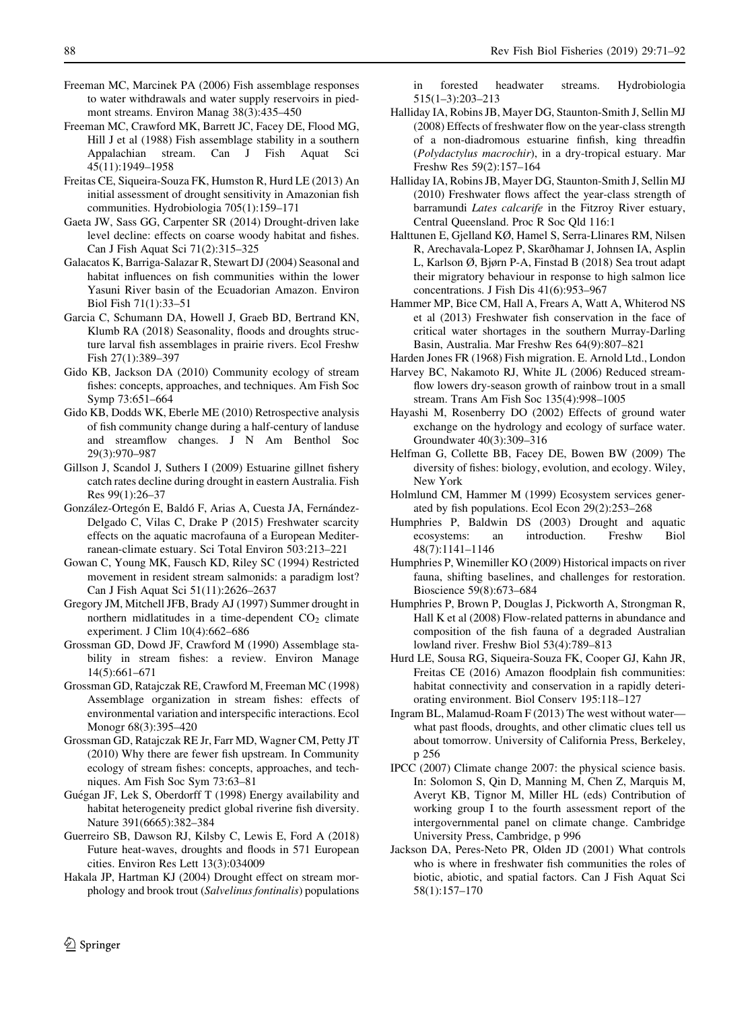- <span id="page-17-0"></span>Freeman MC, Marcinek PA (2006) Fish assemblage responses to water withdrawals and water supply reservoirs in piedmont streams. Environ Manag 38(3):435–450
- Freeman MC, Crawford MK, Barrett JC, Facey DE, Flood MG, Hill J et al (1988) Fish assemblage stability in a southern Appalachian stream. Can J Fish Aquat Sci 45(11):1949–1958
- Freitas CE, Siqueira-Souza FK, Humston R, Hurd LE (2013) An initial assessment of drought sensitivity in Amazonian fish communities. Hydrobiologia 705(1):159–171
- Gaeta JW, Sass GG, Carpenter SR (2014) Drought-driven lake level decline: effects on coarse woody habitat and fishes. Can J Fish Aquat Sci 71(2):315–325
- Galacatos K, Barriga-Salazar R, Stewart DJ (2004) Seasonal and habitat influences on fish communities within the lower Yasuni River basin of the Ecuadorian Amazon. Environ Biol Fish 71(1):33–51
- Garcia C, Schumann DA, Howell J, Graeb BD, Bertrand KN, Klumb RA (2018) Seasonality, floods and droughts structure larval fish assemblages in prairie rivers. Ecol Freshw Fish 27(1):389–397
- Gido KB, Jackson DA (2010) Community ecology of stream fishes: concepts, approaches, and techniques. Am Fish Soc Symp 73:651–664
- Gido KB, Dodds WK, Eberle ME (2010) Retrospective analysis of fish community change during a half-century of landuse and streamflow changes. J N Am Benthol Soc 29(3):970–987
- Gillson J, Scandol J, Suthers I (2009) Estuarine gillnet fishery catch rates decline during drought in eastern Australia. Fish Res 99(1):26–37
- González-Ortegón E, Baldó F, Arias A, Cuesta JA, Fernández-Delgado C, Vilas C, Drake P (2015) Freshwater scarcity effects on the aquatic macrofauna of a European Mediterranean-climate estuary. Sci Total Environ 503:213–221
- Gowan C, Young MK, Fausch KD, Riley SC (1994) Restricted movement in resident stream salmonids: a paradigm lost? Can J Fish Aquat Sci 51(11):2626–2637
- Gregory JM, Mitchell JFB, Brady AJ (1997) Summer drought in northern midlatitudes in a time-dependent  $CO<sub>2</sub>$  climate experiment. J Clim 10(4):662–686
- Grossman GD, Dowd JF, Crawford M (1990) Assemblage stability in stream fishes: a review. Environ Manage 14(5):661–671
- Grossman GD, Ratajczak RE, Crawford M, Freeman MC (1998) Assemblage organization in stream fishes: effects of environmental variation and interspecific interactions. Ecol Monogr 68(3):395–420
- Grossman GD, Ratajczak RE Jr, Farr MD, Wagner CM, Petty JT (2010) Why there are fewer fish upstream. In Community ecology of stream fishes: concepts, approaches, and techniques. Am Fish Soc Sym 73:63–81
- Guégan JF, Lek S, Oberdorff T (1998) Energy availability and habitat heterogeneity predict global riverine fish diversity. Nature 391(6665):382–384
- Guerreiro SB, Dawson RJ, Kilsby C, Lewis E, Ford A (2018) Future heat-waves, droughts and floods in 571 European cities. Environ Res Lett 13(3):034009
- Hakala JP, Hartman KJ (2004) Drought effect on stream morphology and brook trout (Salvelinus fontinalis) populations

in forested headwater streams. Hydrobiologia 515(1–3):203–213

- Halliday IA, Robins JB, Mayer DG, Staunton-Smith J, Sellin MJ (2008) Effects of freshwater flow on the year-class strength of a non-diadromous estuarine finfish, king threadfin (Polydactylus macrochir), in a dry-tropical estuary. Mar Freshw Res 59(2):157–164
- Halliday IA, Robins JB, Mayer DG, Staunton-Smith J, Sellin MJ (2010) Freshwater flows affect the year-class strength of barramundi Lates calcarife in the Fitzroy River estuary, Central Queensland. Proc R Soc Qld 116:1
- Halttunen E, Gjelland KØ, Hamel S, Serra-Llinares RM, Nilsen R, Arechavala-Lopez P, Skarðhamar J, Johnsen IA, Asplin L, Karlson Ø, Bjørn P-A, Finstad B (2018) Sea trout adapt their migratory behaviour in response to high salmon lice concentrations. J Fish Dis 41(6):953–967
- Hammer MP, Bice CM, Hall A, Frears A, Watt A, Whiterod NS et al (2013) Freshwater fish conservation in the face of critical water shortages in the southern Murray-Darling Basin, Australia. Mar Freshw Res 64(9):807–821
- Harden Jones FR (1968) Fish migration. E. Arnold Ltd., London
- Harvey BC, Nakamoto RJ, White JL (2006) Reduced streamflow lowers dry-season growth of rainbow trout in a small stream. Trans Am Fish Soc 135(4):998–1005
- Hayashi M, Rosenberry DO (2002) Effects of ground water exchange on the hydrology and ecology of surface water. Groundwater 40(3):309–316
- Helfman G, Collette BB, Facey DE, Bowen BW (2009) The diversity of fishes: biology, evolution, and ecology. Wiley, New York
- Holmlund CM, Hammer M (1999) Ecosystem services generated by fish populations. Ecol Econ 29(2):253–268
- Humphries P, Baldwin DS (2003) Drought and aquatic ecosystems: an 48(7):1141–1146
- Humphries P, Winemiller KO (2009) Historical impacts on river fauna, shifting baselines, and challenges for restoration. Bioscience 59(8):673–684
- Humphries P, Brown P, Douglas J, Pickworth A, Strongman R, Hall K et al (2008) Flow-related patterns in abundance and composition of the fish fauna of a degraded Australian lowland river. Freshw Biol 53(4):789–813
- Hurd LE, Sousa RG, Siqueira-Souza FK, Cooper GJ, Kahn JR, Freitas CE (2016) Amazon floodplain fish communities: habitat connectivity and conservation in a rapidly deteriorating environment. Biol Conserv 195:118–127
- Ingram BL, Malamud-Roam F (2013) The west without water what past floods, droughts, and other climatic clues tell us about tomorrow. University of California Press, Berkeley, p 256
- IPCC (2007) Climate change 2007: the physical science basis. In: Solomon S, Qin D, Manning M, Chen Z, Marquis M, Averyt KB, Tignor M, Miller HL (eds) Contribution of working group I to the fourth assessment report of the intergovernmental panel on climate change. Cambridge University Press, Cambridge, p 996
- Jackson DA, Peres-Neto PR, Olden JD (2001) What controls who is where in freshwater fish communities the roles of biotic, abiotic, and spatial factors. Can J Fish Aquat Sci 58(1):157–170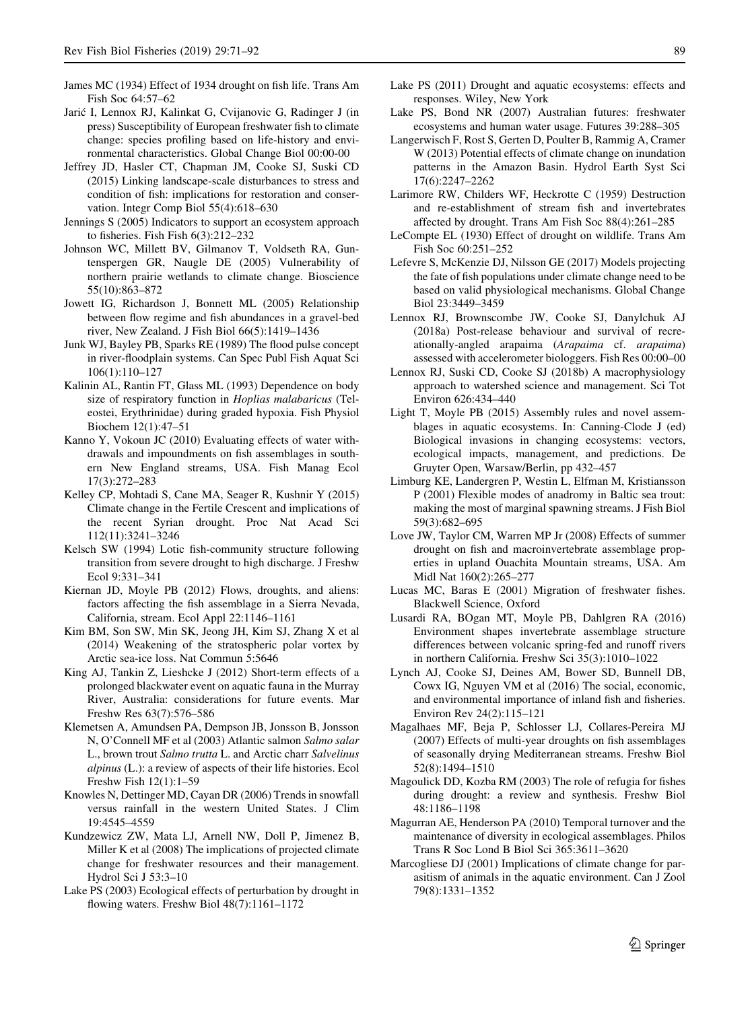- <span id="page-18-0"></span>James MC (1934) Effect of 1934 drought on fish life. Trans Am Fish Soc 64:57–62
- Jarić I, Lennox RJ, Kalinkat G, Cvijanovic G, Radinger J (in press) Susceptibility of European freshwater fish to climate change: species profiling based on life-history and environmental characteristics. Global Change Biol 00:00-00
- Jeffrey JD, Hasler CT, Chapman JM, Cooke SJ, Suski CD (2015) Linking landscape-scale disturbances to stress and condition of fish: implications for restoration and conservation. Integr Comp Biol 55(4):618–630
- Jennings S (2005) Indicators to support an ecosystem approach to fisheries. Fish Fish 6(3):212–232
- Johnson WC, Millett BV, Gilmanov T, Voldseth RA, Guntenspergen GR, Naugle DE (2005) Vulnerability of northern prairie wetlands to climate change. Bioscience 55(10):863–872
- Jowett IG, Richardson J, Bonnett ML (2005) Relationship between flow regime and fish abundances in a gravel-bed river, New Zealand. J Fish Biol 66(5):1419–1436
- Junk WJ, Bayley PB, Sparks RE (1989) The flood pulse concept in river-floodplain systems. Can Spec Publ Fish Aquat Sci 106(1):110–127
- Kalinin AL, Rantin FT, Glass ML (1993) Dependence on body size of respiratory function in Hoplias malabaricus (Teleostei, Erythrinidae) during graded hypoxia. Fish Physiol Biochem 12(1):47–51
- Kanno Y, Vokoun JC (2010) Evaluating effects of water withdrawals and impoundments on fish assemblages in southern New England streams, USA. Fish Manag Ecol 17(3):272–283
- Kelley CP, Mohtadi S, Cane MA, Seager R, Kushnir Y (2015) Climate change in the Fertile Crescent and implications of the recent Syrian drought. Proc Nat Acad Sci 112(11):3241–3246
- Kelsch SW (1994) Lotic fish-community structure following transition from severe drought to high discharge. J Freshw Ecol 9:331–341
- Kiernan JD, Moyle PB (2012) Flows, droughts, and aliens: factors affecting the fish assemblage in a Sierra Nevada, California, stream. Ecol Appl 22:1146–1161
- Kim BM, Son SW, Min SK, Jeong JH, Kim SJ, Zhang X et al (2014) Weakening of the stratospheric polar vortex by Arctic sea-ice loss. Nat Commun 5:5646
- King AJ, Tankin Z, Lieshcke J (2012) Short-term effects of a prolonged blackwater event on aquatic fauna in the Murray River, Australia: considerations for future events. Mar Freshw Res 63(7):576–586
- Klemetsen A, Amundsen PA, Dempson JB, Jonsson B, Jonsson N, O'Connell MF et al (2003) Atlantic salmon Salmo salar L., brown trout Salmo trutta L. and Arctic charr Salvelinus alpinus (L.): a review of aspects of their life histories. Ecol Freshw Fish 12(1):1–59
- Knowles N, Dettinger MD, Cayan DR (2006) Trends in snowfall versus rainfall in the western United States. J Clim 19:4545–4559
- Kundzewicz ZW, Mata LJ, Arnell NW, Doll P, Jimenez B, Miller K et al (2008) The implications of projected climate change for freshwater resources and their management. Hydrol Sci J 53:3–10
- Lake PS (2003) Ecological effects of perturbation by drought in flowing waters. Freshw Biol 48(7):1161–1172
- Lake PS (2011) Drought and aquatic ecosystems: effects and responses. Wiley, New York
- Lake PS, Bond NR (2007) Australian futures: freshwater ecosystems and human water usage. Futures 39:288–305
- Langerwisch F, Rost S, Gerten D, Poulter B, Rammig A, Cramer W (2013) Potential effects of climate change on inundation patterns in the Amazon Basin. Hydrol Earth Syst Sci 17(6):2247–2262
- Larimore RW, Childers WF, Heckrotte C (1959) Destruction and re-establishment of stream fish and invertebrates affected by drought. Trans Am Fish Soc 88(4):261–285
- LeCompte EL (1930) Effect of drought on wildlife. Trans Am Fish Soc 60:251–252
- Lefevre S, McKenzie DJ, Nilsson GE (2017) Models projecting the fate of fish populations under climate change need to be based on valid physiological mechanisms. Global Change Biol 23:3449–3459
- Lennox RJ, Brownscombe JW, Cooke SJ, Danylchuk AJ (2018a) Post-release behaviour and survival of recreationally-angled arapaima (Arapaima cf. arapaima) assessed with accelerometer biologgers. Fish Res 00:00–00
- Lennox RJ, Suski CD, Cooke SJ (2018b) A macrophysiology approach to watershed science and management. Sci Tot Environ 626:434–440
- Light T, Moyle PB (2015) Assembly rules and novel assemblages in aquatic ecosystems. In: Canning-Clode J (ed) Biological invasions in changing ecosystems: vectors, ecological impacts, management, and predictions. De Gruyter Open, Warsaw/Berlin, pp 432–457
- Limburg KE, Landergren P, Westin L, Elfman M, Kristiansson P (2001) Flexible modes of anadromy in Baltic sea trout: making the most of marginal spawning streams. J Fish Biol 59(3):682–695
- Love JW, Taylor CM, Warren MP Jr (2008) Effects of summer drought on fish and macroinvertebrate assemblage properties in upland Ouachita Mountain streams, USA. Am Midl Nat 160(2):265–277
- Lucas MC, Baras E (2001) Migration of freshwater fishes. Blackwell Science, Oxford
- Lusardi RA, BOgan MT, Moyle PB, Dahlgren RA (2016) Environment shapes invertebrate assemblage structure differences between volcanic spring-fed and runoff rivers in northern California. Freshw Sci 35(3):1010–1022
- Lynch AJ, Cooke SJ, Deines AM, Bower SD, Bunnell DB, Cowx IG, Nguyen VM et al (2016) The social, economic, and environmental importance of inland fish and fisheries. Environ Rev 24(2):115–121
- Magalhaes MF, Beja P, Schlosser LJ, Collares-Pereira MJ (2007) Effects of multi-year droughts on fish assemblages of seasonally drying Mediterranean streams. Freshw Biol 52(8):1494–1510
- Magoulick DD, Kozba RM (2003) The role of refugia for fishes during drought: a review and synthesis. Freshw Biol 48:1186–1198
- Magurran AE, Henderson PA (2010) Temporal turnover and the maintenance of diversity in ecological assemblages. Philos Trans R Soc Lond B Biol Sci 365:3611–3620
- Marcogliese DJ (2001) Implications of climate change for parasitism of animals in the aquatic environment. Can J Zool 79(8):1331–1352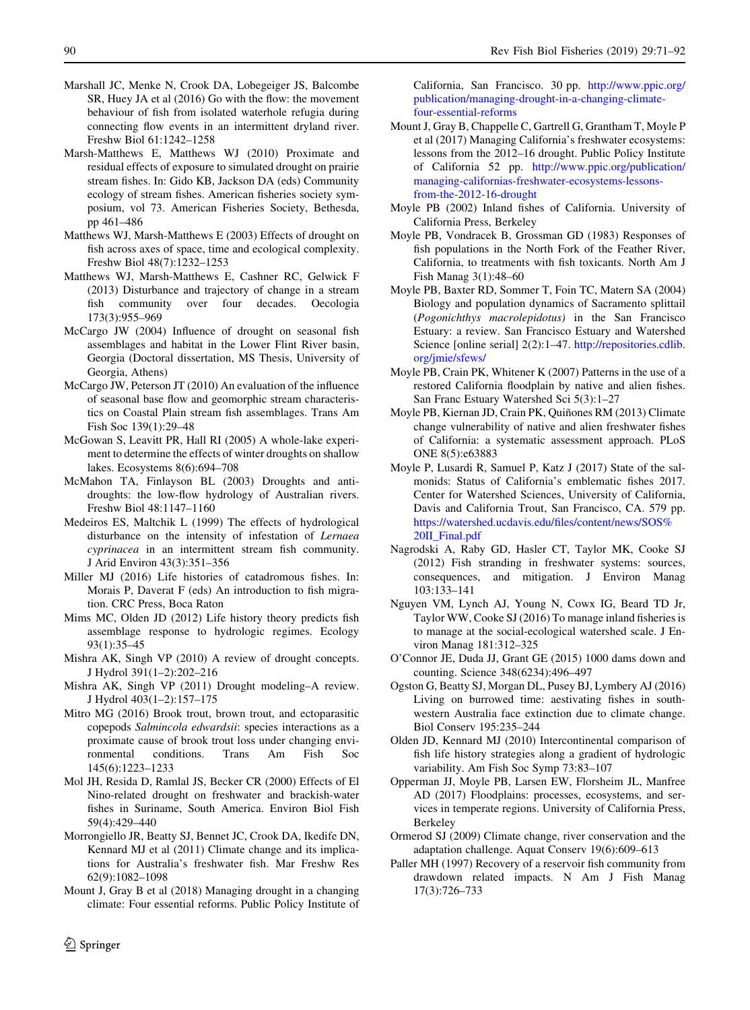- <span id="page-19-0"></span>Marshall JC, Menke N, Crook DA, Lobegeiger JS, Balcombe SR, Huey JA et al (2016) Go with the flow: the movement behaviour of fish from isolated waterhole refugia during connecting flow events in an intermittent dryland river. Freshw Biol 61:1242–1258
- Marsh-Matthews E, Matthews WJ (2010) Proximate and residual effects of exposure to simulated drought on prairie stream fishes. In: Gido KB, Jackson DA (eds) Community ecology of stream fishes. American fisheries society symposium, vol 73. American Fisheries Society, Bethesda, pp 461–486
- Matthews WJ, Marsh-Matthews E (2003) Effects of drought on fish across axes of space, time and ecological complexity. Freshw Biol 48(7):1232–1253
- Matthews WJ, Marsh-Matthews E, Cashner RC, Gelwick F (2013) Disturbance and trajectory of change in a stream fish community over four decades. Oecologia 173(3):955–969
- McCargo JW (2004) Influence of drought on seasonal fish assemblages and habitat in the Lower Flint River basin, Georgia (Doctoral dissertation, MS Thesis, University of Georgia, Athens)
- McCargo JW, Peterson JT (2010) An evaluation of the influence of seasonal base flow and geomorphic stream characteristics on Coastal Plain stream fish assemblages. Trans Am Fish Soc 139(1):29–48
- McGowan S, Leavitt PR, Hall RI (2005) A whole-lake experiment to determine the effects of winter droughts on shallow lakes. Ecosystems 8(6):694–708
- McMahon TA, Finlayson BL (2003) Droughts and antidroughts: the low-flow hydrology of Australian rivers. Freshw Biol 48:1147–1160
- Medeiros ES, Maltchik L (1999) The effects of hydrological disturbance on the intensity of infestation of Lernaea cyprinacea in an intermittent stream fish community. J Arid Environ 43(3):351–356
- Miller MJ (2016) Life histories of catadromous fishes. In: Morais P, Daverat F (eds) An introduction to fish migration. CRC Press, Boca Raton
- Mims MC, Olden JD (2012) Life history theory predicts fish assemblage response to hydrologic regimes. Ecology 93(1):35–45
- Mishra AK, Singh VP (2010) A review of drought concepts. J Hydrol 391(1–2):202–216
- Mishra AK, Singh VP (2011) Drought modeling–A review. J Hydrol 403(1–2):157–175
- Mitro MG (2016) Brook trout, brown trout, and ectoparasitic copepods Salmincola edwardsii: species interactions as a proximate cause of brook trout loss under changing environmental conditions. Trans Am Fish Soc 145(6):1223–1233
- Mol JH, Resida D, Ramlal JS, Becker CR (2000) Effects of El Nino-related drought on freshwater and brackish-water fishes in Suriname, South America. Environ Biol Fish 59(4):429–440
- Morrongiello JR, Beatty SJ, Bennet JC, Crook DA, Ikedife DN, Kennard MJ et al (2011) Climate change and its implications for Australia's freshwater fish. Mar Freshw Res 62(9):1082–1098
- Mount J, Gray B et al (2018) Managing drought in a changing climate: Four essential reforms. Public Policy Institute of

California, San Francisco. 30 pp. [http://www.ppic.org/](http://www.ppic.org/publication/managing-drought-in-a-changing-climate-four-essential-reforms) [publication/managing-drought-in-a-changing-climate](http://www.ppic.org/publication/managing-drought-in-a-changing-climate-four-essential-reforms)[four-essential-reforms](http://www.ppic.org/publication/managing-drought-in-a-changing-climate-four-essential-reforms)

- Mount J, Gray B, Chappelle C, Gartrell G, Grantham T, Moyle P et al (2017) Managing California's freshwater ecosystems: lessons from the 2012–16 drought. Public Policy Institute of California 52 pp. [http://www.ppic.org/publication/](http://www.ppic.org/publication/managing-californias-freshwater-ecosystems-lessons-from-the-2012-16-drought) [managing-californias-freshwater-ecosystems-lessons](http://www.ppic.org/publication/managing-californias-freshwater-ecosystems-lessons-from-the-2012-16-drought)[from-the-2012-16-drought](http://www.ppic.org/publication/managing-californias-freshwater-ecosystems-lessons-from-the-2012-16-drought)
- Moyle PB (2002) Inland fishes of California. University of California Press, Berkeley
- Moyle PB, Vondracek B, Grossman GD (1983) Responses of fish populations in the North Fork of the Feather River, California, to treatments with fish toxicants. North Am J Fish Manag 3(1):48–60
- Moyle PB, Baxter RD, Sommer T, Foin TC, Matern SA (2004) Biology and population dynamics of Sacramento splittail (Pogonichthys macrolepidotus) in the San Francisco Estuary: a review. San Francisco Estuary and Watershed Science [online serial] 2(2):1–47. [http://repositories.cdlib.](http://repositories.cdlib.org/jmie/sfews/) [org/jmie/sfews/](http://repositories.cdlib.org/jmie/sfews/)
- Moyle PB, Crain PK, Whitener K (2007) Patterns in the use of a restored California floodplain by native and alien fishes. San Franc Estuary Watershed Sci 5(3):1–27
- Moyle PB, Kiernan JD, Crain PK, Quiñones RM (2013) Climate change vulnerability of native and alien freshwater fishes of California: a systematic assessment approach. PLoS ONE 8(5):e63883
- Moyle P, Lusardi R, Samuel P, Katz J (2017) State of the salmonids: Status of California's emblematic fishes 2017. Center for Watershed Sciences, University of California, Davis and California Trout, San Francisco, CA. 579 pp. [https://watershed.ucdavis.edu/files/content/news/SOS%](https://watershed.ucdavis.edu/files/content/news/SOS%20II_Final.pdf) [20II\\_Final.pdf](https://watershed.ucdavis.edu/files/content/news/SOS%20II_Final.pdf)
- Nagrodski A, Raby GD, Hasler CT, Taylor MK, Cooke SJ (2012) Fish stranding in freshwater systems: sources, consequences, and mitigation. J Environ Manag 103:133–141
- Nguyen VM, Lynch AJ, Young N, Cowx IG, Beard TD Jr, Taylor WW, Cooke SJ (2016) To manage inland fisheries is to manage at the social-ecological watershed scale. J Environ Manag 181:312–325
- O'Connor JE, Duda JJ, Grant GE (2015) 1000 dams down and counting. Science 348(6234):496–497
- Ogston G, Beatty SJ, Morgan DL, Pusey BJ, Lymbery AJ (2016) Living on burrowed time: aestivating fishes in southwestern Australia face extinction due to climate change. Biol Conserv 195:235–244
- Olden JD, Kennard MJ (2010) Intercontinental comparison of fish life history strategies along a gradient of hydrologic variability. Am Fish Soc Symp 73:83–107
- Opperman JJ, Moyle PB, Larsen EW, Florsheim JL, Manfree AD (2017) Floodplains: processes, ecosystems, and services in temperate regions. University of California Press, Berkeley
- Ormerod SJ (2009) Climate change, river conservation and the adaptation challenge. Aquat Conserv 19(6):609–613
- Paller MH (1997) Recovery of a reservoir fish community from drawdown related impacts. N Am J Fish Manag 17(3):726–733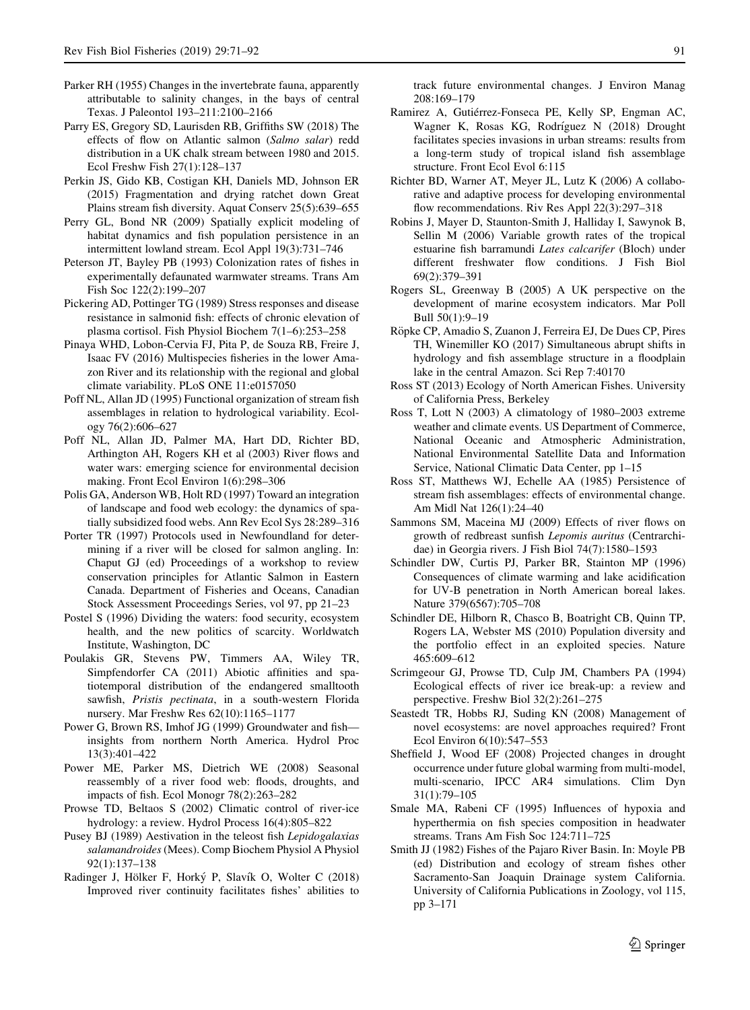- <span id="page-20-0"></span>Parker RH (1955) Changes in the invertebrate fauna, apparently attributable to salinity changes, in the bays of central Texas. J Paleontol 193–211:2100–2166
- Parry ES, Gregory SD, Laurisden RB, Griffiths SW (2018) The effects of flow on Atlantic salmon (Salmo salar) redd distribution in a UK chalk stream between 1980 and 2015. Ecol Freshw Fish 27(1):128–137
- Perkin JS, Gido KB, Costigan KH, Daniels MD, Johnson ER (2015) Fragmentation and drying ratchet down Great Plains stream fish diversity. Aquat Conserv 25(5):639–655
- Perry GL, Bond NR (2009) Spatially explicit modeling of habitat dynamics and fish population persistence in an intermittent lowland stream. Ecol Appl 19(3):731–746
- Peterson JT, Bayley PB (1993) Colonization rates of fishes in experimentally defaunated warmwater streams. Trans Am Fish Soc 122(2):199–207
- Pickering AD, Pottinger TG (1989) Stress responses and disease resistance in salmonid fish: effects of chronic elevation of plasma cortisol. Fish Physiol Biochem 7(1–6):253–258
- Pinaya WHD, Lobon-Cervia FJ, Pita P, de Souza RB, Freire J, Isaac FV (2016) Multispecies fisheries in the lower Amazon River and its relationship with the regional and global climate variability. PLoS ONE 11:e0157050
- Poff NL, Allan JD (1995) Functional organization of stream fish assemblages in relation to hydrological variability. Ecology 76(2):606–627
- Poff NL, Allan JD, Palmer MA, Hart DD, Richter BD, Arthington AH, Rogers KH et al (2003) River flows and water wars: emerging science for environmental decision making. Front Ecol Environ 1(6):298–306
- Polis GA, Anderson WB, Holt RD (1997) Toward an integration of landscape and food web ecology: the dynamics of spatially subsidized food webs. Ann Rev Ecol Sys 28:289–316
- Porter TR (1997) Protocols used in Newfoundland for determining if a river will be closed for salmon angling. In: Chaput GJ (ed) Proceedings of a workshop to review conservation principles for Atlantic Salmon in Eastern Canada. Department of Fisheries and Oceans, Canadian Stock Assessment Proceedings Series, vol 97, pp 21–23
- Postel S (1996) Dividing the waters: food security, ecosystem health, and the new politics of scarcity. Worldwatch Institute, Washington, DC
- Poulakis GR, Stevens PW, Timmers AA, Wiley TR, Simpfendorfer CA (2011) Abiotic affinities and spatiotemporal distribution of the endangered smalltooth sawfish, Pristis pectinata, in a south-western Florida nursery. Mar Freshw Res 62(10):1165–1177
- Power G, Brown RS, Imhof JG (1999) Groundwater and fish insights from northern North America. Hydrol Proc 13(3):401–422
- Power ME, Parker MS, Dietrich WE (2008) Seasonal reassembly of a river food web: floods, droughts, and impacts of fish. Ecol Monogr 78(2):263–282
- Prowse TD, Beltaos S (2002) Climatic control of river-ice hydrology: a review. Hydrol Process 16(4):805–822
- Pusey BJ (1989) Aestivation in the teleost fish *Lepidogalaxias* salamandroides (Mees). Comp Biochem Physiol A Physiol 92(1):137–138
- Radinger J, Hölker F, Horký P, Slavík O, Wolter C (2018) Improved river continuity facilitates fishes' abilities to

track future environmental changes. J Environ Manag 208:169–179

- Ramirez A, Gutiérrez-Fonseca PE, Kelly SP, Engman AC, Wagner K, Rosas KG, Rodríguez N (2018) Drought facilitates species invasions in urban streams: results from a long-term study of tropical island fish assemblage structure. Front Ecol Evol 6:115
- Richter BD, Warner AT, Meyer JL, Lutz K (2006) A collaborative and adaptive process for developing environmental flow recommendations. Riv Res Appl 22(3):297–318
- Robins J, Mayer D, Staunton-Smith J, Halliday I, Sawynok B, Sellin M (2006) Variable growth rates of the tropical estuarine fish barramundi Lates calcarifer (Bloch) under different freshwater flow conditions. J Fish Biol 69(2):379–391
- Rogers SL, Greenway B (2005) A UK perspective on the development of marine ecosystem indicators. Mar Poll Bull 50(1):9–19
- Röpke CP, Amadio S, Zuanon J, Ferreira EJ, De Dues CP, Pires TH, Winemiller KO (2017) Simultaneous abrupt shifts in hydrology and fish assemblage structure in a floodplain lake in the central Amazon. Sci Rep 7:40170
- Ross ST (2013) Ecology of North American Fishes. University of California Press, Berkeley
- Ross T, Lott N (2003) A climatology of 1980–2003 extreme weather and climate events. US Department of Commerce, National Oceanic and Atmospheric Administration, National Environmental Satellite Data and Information Service, National Climatic Data Center, pp 1–15
- Ross ST, Matthews WJ, Echelle AA (1985) Persistence of stream fish assemblages: effects of environmental change. Am Midl Nat 126(1):24–40
- Sammons SM, Maceina MJ (2009) Effects of river flows on growth of redbreast sunfish Lepomis auritus (Centrarchidae) in Georgia rivers. J Fish Biol 74(7):1580–1593
- Schindler DW, Curtis PJ, Parker BR, Stainton MP (1996) Consequences of climate warming and lake acidification for UV-B penetration in North American boreal lakes. Nature 379(6567):705–708
- Schindler DE, Hilborn R, Chasco B, Boatright CB, Quinn TP, Rogers LA, Webster MS (2010) Population diversity and the portfolio effect in an exploited species. Nature 465:609–612
- Scrimgeour GJ, Prowse TD, Culp JM, Chambers PA (1994) Ecological effects of river ice break-up: a review and perspective. Freshw Biol 32(2):261–275
- Seastedt TR, Hobbs RJ, Suding KN (2008) Management of novel ecosystems: are novel approaches required? Front Ecol Environ 6(10):547–553
- Sheffield J, Wood EF (2008) Projected changes in drought occurrence under future global warming from multi-model, multi-scenario, IPCC AR4 simulations. Clim Dyn 31(1):79–105
- Smale MA, Rabeni CF (1995) Influences of hypoxia and hyperthermia on fish species composition in headwater streams. Trans Am Fish Soc 124:711–725
- Smith JJ (1982) Fishes of the Pajaro River Basin. In: Moyle PB (ed) Distribution and ecology of stream fishes other Sacramento-San Joaquin Drainage system California. University of California Publications in Zoology, vol 115, pp 3–171